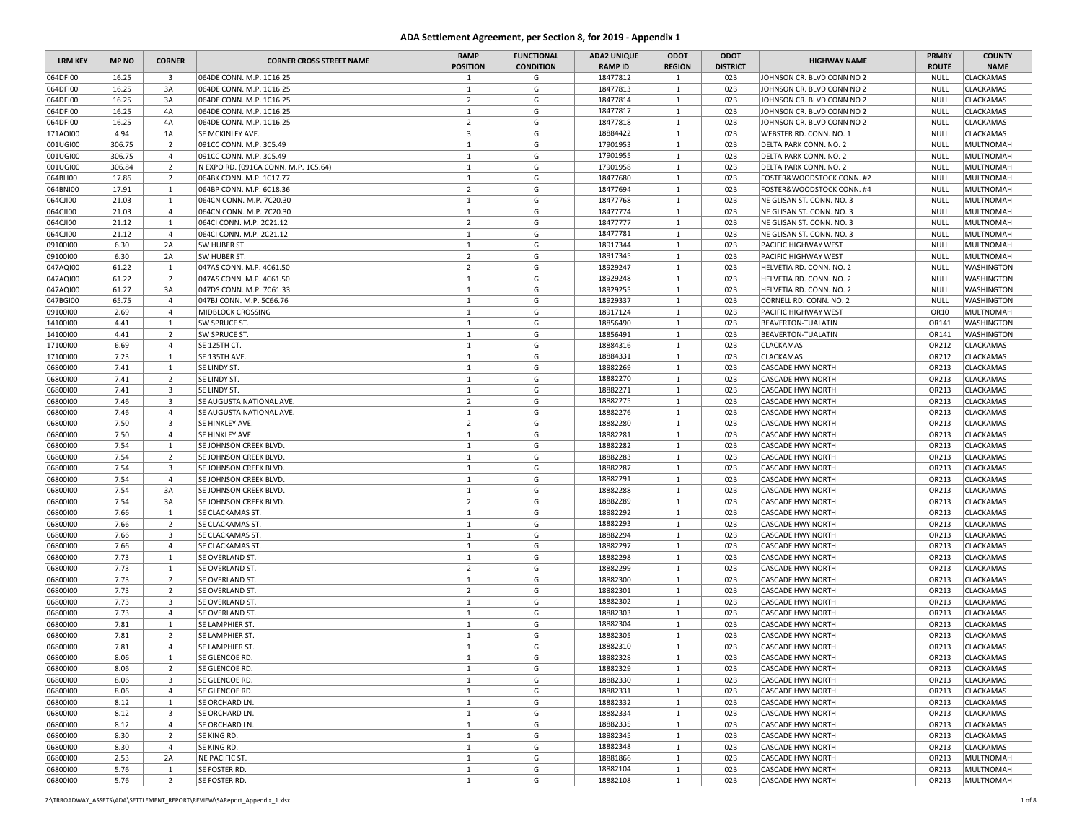| <b>LRM KEY</b>       | <b>MP NO</b> | <b>CORNER</b>                             | <b>CORNER CROSS STREET NAME</b>      | <b>RAMP</b><br><b>POSITION</b> | <b>FUNCTIONAL</b><br><b>CONDITION</b> | <b>ADA2 UNIQUE</b><br><b>RAMP ID</b> | ODOT<br><b>REGION</b>        | ODOT<br><b>DISTRICT</b> | <b>HIGHWAY NAME</b>                                  | <b>PRMRY</b><br><b>ROUTE</b> | <b>COUNTY</b><br><b>NAME</b>         |
|----------------------|--------------|-------------------------------------------|--------------------------------------|--------------------------------|---------------------------------------|--------------------------------------|------------------------------|-------------------------|------------------------------------------------------|------------------------------|--------------------------------------|
| 064DFI00             | 16.25        | $\overline{\mathbf{3}}$                   | 064DE CONN. M.P. 1C16.25             | $\mathbf{1}$                   | G                                     | 18477812                             | $\mathbf{1}$                 | 02B                     | JOHNSON CR. BLVD CONN NO 2                           | NULL                         | <b>CLACKAMAS</b>                     |
| 064DFI00             | 16.25        | 3A                                        | 064DE CONN. M.P. 1C16.25             | $\mathbf{1}$                   | G                                     | 18477813                             | <sup>1</sup>                 | 02B                     | JOHNSON CR. BLVD CONN NO 2                           | <b>NULL</b>                  | <b>CLACKAMAS</b>                     |
| 064DFI00             | 16.25        | 3A                                        | 064DE CONN. M.P. 1C16.25             | $\overline{2}$                 | G                                     | 18477814                             | $\mathbf{1}$                 | 02B                     | JOHNSON CR. BLVD CONN NO 2                           | <b>NULL</b>                  | <b>CLACKAMAS</b>                     |
| 064DFI00             | 16.25        | 4A                                        | 064DE CONN. M.P. 1C16.25             | $\mathbf{1}$                   | G                                     | 18477817                             | <sup>1</sup>                 | 02B                     | JOHNSON CR. BLVD CONN NO 2                           | <b>NULL</b>                  | <b>CLACKAMAS</b>                     |
| 064DFI00             | 16.25        | 4A                                        | 064DE CONN. M.P. 1C16.25             | $\overline{2}$                 | G                                     | 18477818                             | $\mathbf{1}$                 | 02B                     | JOHNSON CR. BLVD CONN NO 2                           | NULL                         | <b>CLACKAMAS</b>                     |
| 171AOI00             | 4.94         | 1A                                        | SE MCKINLEY AVE.                     | $\overline{3}$                 | G                                     | 18884422                             | $\mathbf{1}$                 | 02B                     | WEBSTER RD. CONN. NO. 1                              | NULL                         | CLACKAMAS                            |
| 001UGI00             | 306.75       | $\overline{2}$                            | 091CC CONN. M.P. 3C5.49              | $\mathbf{1}$                   | G                                     | 17901953                             | $\mathbf{1}$                 | 02B                     | DELTA PARK CONN. NO. 2                               | <b>NULL</b>                  | MULTNOMAH                            |
| 001UGI00             | 306.75       | $\overline{4}$                            | 091CC CONN. M.P. 3C5.49              | $\mathbf{1}$                   | G                                     | 17901955                             | <sup>1</sup>                 | 02B                     | DELTA PARK CONN. NO. 2                               | NULL                         | MULTNOMAH                            |
| 001UGI00             | 306.84       | $\overline{2}$                            | N EXPO RD. (091CA CONN. M.P. 1C5.64) | $\mathbf{1}$                   | G                                     | 17901958                             | $\mathbf{1}$                 | 02B                     | DELTA PARK CONN. NO. 2                               | <b>NULL</b>                  | MULTNOMAH                            |
| 064BLI00             | 17.86        | $\overline{2}$                            | 064BK CONN. M.P. 1C17.77             | $\mathbf{1}$                   | G                                     | 18477680                             | 1                            | 02B                     | FOSTER&WOODSTOCK CONN. #2                            | <b>NULL</b>                  | MULTNOMAH                            |
| 064BNI00             | 17.91        | 1                                         | 064BP CONN. M.P. 6C18.36             | $\overline{2}$                 | G                                     | 18477694                             | <sup>1</sup>                 | 02B                     | FOSTER&WOODSTOCK CONN. #4                            | <b>NULL</b>                  | MULTNOMAH                            |
| 064CJI00             | 21.03        | $\mathbf{1}$                              | 064CN CONN. M.P. 7C20.30             | $\mathbf{1}$                   | G                                     | 18477768                             | $\mathbf{1}$                 | 02B                     | NE GLISAN ST. CONN. NO. 3                            | NULL                         | MULTNOMAH                            |
| 064CJI00             | 21.03        | $\overline{4}$                            | 064CN CONN. M.P. 7C20.30             | $\mathbf{1}$                   | G                                     | 18477774                             | $\mathbf{1}$                 | 02B                     | NE GLISAN ST. CONN. NO. 3                            | NULL                         | MULTNOMAH                            |
| 064CJI00             | 21.12        | $\mathbf{1}$                              | 064CI CONN. M.P. 2C21.12             | $\overline{2}$                 | G                                     | 18477777                             | $\mathbf{1}$                 | 02B                     | NE GLISAN ST. CONN. NO. 3                            | <b>NULL</b>                  | MULTNOMAH                            |
| 064CJI00             | 21.12        | $\overline{4}$                            | 064CI CONN. M.P. 2C21.12             | $\mathbf{1}$                   | G                                     | 18477781                             | $\mathbf{1}$                 | 02B                     | NE GLISAN ST. CONN. NO. 3                            | NULL                         | MULTNOMAH                            |
| 09100100             | 6.30         | 2A                                        | SW HUBER ST.                         | $\mathbf{1}$                   | G                                     | 18917344                             | $\overline{1}$               | 02B                     | PACIFIC HIGHWAY WEST                                 | <b>NULL</b>                  | MULTNOMAH                            |
| 09100100             | 6.30         | 2A                                        | SW HUBER ST.                         | $\overline{2}$                 | G                                     | 18917345                             | 1                            | 02B                     | <b>PACIFIC HIGHWAY WEST</b>                          | NULL                         | MULTNOMAH                            |
| 047AQI00             | 61.22        | 1                                         | 047AS CONN. M.P. 4C61.50             | $\overline{2}$                 | G                                     | 18929247                             | $\mathbf{1}$                 | 02B                     | HELVETIA RD. CONN. NO. 2                             | <b>NULL</b>                  | <b>WASHINGTON</b>                    |
| 047AQI00             | 61.22        | $\overline{2}$                            | 047AS CONN. M.P. 4C61.50             | $\mathbf{1}$                   | G                                     | 18929248                             | <sup>1</sup>                 | 02B                     | HELVETIA RD. CONN. NO. 2                             | NULL                         | <b>WASHINGTON</b>                    |
| 047AQI00             | 61.27        | 3A                                        | 047DS CONN. M.P. 7C61.33             | $\mathbf{1}$                   | G                                     | 18929255                             | <sup>1</sup>                 | 02B                     | HELVETIA RD. CONN. NO. 2                             | <b>NULL</b>                  | <b>WASHINGTON</b>                    |
| 047BGI00             | 65.75        | $\overline{4}$                            | 047BJ CONN. M.P. 5C66.76             | $\mathbf{1}$                   | G                                     | 18929337                             | $\mathbf{1}$                 | 02B                     | CORNELL RD. CONN. NO. 2                              | <b>NULL</b>                  | <b>WASHINGTON</b>                    |
| 09100100             | 2.69         | $\overline{4}$                            | MIDBLOCK CROSSING                    | <sup>1</sup>                   | G                                     | 18917124                             | $\mathbf{1}$                 | 02B                     | PACIFIC HIGHWAY WEST                                 | OR10                         | MULTNOMAH                            |
| 14100100             | 4.41         | 1                                         | SW SPRUCE ST.                        | $\mathbf{1}$                   | G                                     | 18856490                             | $\mathbf{1}$                 | 02B                     | <b>BEAVERTON-TUALATIN</b>                            | OR141                        | <b>WASHINGTON</b>                    |
| 14100100             | 4.41         | $\overline{2}$                            | SW SPRUCE ST.                        | $\mathbf{1}$                   | G                                     | 18856491                             | $\mathbf{1}$                 | 02B                     | <b>BEAVERTON-TUALATIN</b>                            | OR141                        | WASHINGTON                           |
| 17100100             | 6.69         | $\overline{4}$                            | SE 125TH CT.                         | $\mathbf{1}$                   | G                                     | 18884316                             | $\mathbf{1}$                 | 02B                     | <b>CLACKAMAS</b>                                     | OR212                        | <b>CLACKAMAS</b>                     |
| 17100100             | 7.23         | <sup>1</sup>                              | SE 135TH AVE.                        | $\mathbf{1}$                   | G                                     | 18884331                             | <sup>1</sup>                 | 02B                     | <b>CLACKAMAS</b>                                     | OR212                        | <b>CLACKAMAS</b>                     |
| 06800100             | 7.41         | 1                                         | SE LINDY ST.                         | $\mathbf{1}$                   | G                                     | 18882269                             | $\mathbf{1}$                 | 02B                     | <b>CASCADE HWY NORTH</b>                             | OR213                        | <b>CLACKAMAS</b>                     |
| 06800100             | 7.41         | $\overline{2}$                            | SE LINDY ST.                         | $\mathbf{1}$                   | G                                     | 18882270                             | $\mathbf{1}$                 | 02B                     | <b>CASCADE HWY NORTH</b>                             | OR213                        | <b>CLACKAMAS</b>                     |
| 06800100             | 7.41         | $\overline{\mathbf{3}}$                   | SE LINDY ST.                         | $\mathbf{1}$                   | G                                     | 18882271                             | $\mathbf{1}$                 | 02B                     | <b>CASCADE HWY NORTH</b>                             | OR213                        | <b>CLACKAMAS</b>                     |
| 06800100             | 7.46         | 3                                         | SE AUGUSTA NATIONAL AVE.             | $\overline{2}$                 | G                                     | 18882275                             | $\mathbf{1}$                 | 02B                     | <b>CASCADE HWY NORTH</b>                             | OR213                        | <b>CLACKAMAS</b>                     |
| 06800100             | 7.46         | $\overline{4}$                            | SE AUGUSTA NATIONAL AVE.             | 1                              | G                                     | 18882276                             | <sup>1</sup>                 | 02B                     | <b>CASCADE HWY NORTH</b>                             | OR213                        | CLACKAMAS                            |
| 06800100             | 7.50         | $\overline{\mathbf{3}}$                   | SE HINKLEY AVE.                      | $\overline{2}$                 | G                                     | 18882280                             | $\mathbf{1}$                 | 02B                     | <b>CASCADE HWY NORTH</b>                             | OR213                        | <b>CLACKAMAS</b>                     |
| 06800100             | 7.50         | $\overline{4}$                            | <b>SE HINKLEY AVE.</b>               | $\mathbf{1}$                   | G                                     | 18882281                             | $\mathbf{1}$                 | 02B                     | <b>CASCADE HWY NORTH</b>                             | OR213                        | <b>CLACKAMAS</b>                     |
| 06800100             | 7.54         | 1                                         | SE JOHNSON CREEK BLVD.               | $\mathbf{1}$                   | G                                     | 18882282                             | $\mathbf{1}$                 | 02B                     | <b>CASCADE HWY NORTH</b>                             | OR213                        | <b>CLACKAMAS</b>                     |
| 06800100             | 7.54         | $\overline{2}$                            | SE JOHNSON CREEK BLVD.               | $\mathbf{1}$                   | G                                     | 18882283                             | $\mathbf{1}$                 | 02B                     | <b>CASCADE HWY NORTH</b>                             | OR213                        | <b>CLACKAMAS</b>                     |
| 06800100             | 7.54         | $\overline{\mathbf{3}}$                   | SE JOHNSON CREEK BLVD                | $\mathbf{1}$                   | G                                     | 18882287                             | $\mathbf{1}$                 | 02B                     | <b>CASCADE HWY NORTH</b>                             | OR213                        | <b>CLACKAMAS</b>                     |
| 06800100             | 7.54         | $\overline{4}$                            | SE JOHNSON CREEK BLVD.               | $\mathbf{1}$                   | G                                     | 18882291                             | $\mathbf{1}$                 | 02B                     | <b>CASCADE HWY NORTH</b>                             | OR213                        | <b>CLACKAMAS</b>                     |
| 06800100             | 7.54         | 3A                                        | SE JOHNSON CREEK BLVD.               | $\mathbf{1}$                   | G                                     | 18882288                             | $\mathbf{1}$                 | 02B                     | <b>CASCADE HWY NORTH</b>                             | OR213                        | <b>CLACKAMAS</b>                     |
| 06800100             | 7.54         | 3A                                        | SE JOHNSON CREEK BLVD.               | $\overline{2}$                 | G                                     | 18882289                             | $\mathbf{1}$                 | 02B                     | <b>CASCADE HWY NORTH</b>                             | OR213                        | <b>CLACKAMAS</b>                     |
| 06800100             | 7.66         | 1                                         | SE CLACKAMAS ST.                     | $\mathbf{1}$                   | G                                     | 18882292                             | $\mathbf{1}$                 | 02B                     | <b>CASCADE HWY NORTH</b>                             | OR213                        | <b>CLACKAMAS</b>                     |
| 06800100             | 7.66         | $\overline{2}$                            | SE CLACKAMAS ST.                     | $\mathbf{1}$                   | G                                     | 18882293                             | $\mathbf{1}$                 | 02B                     | <b>CASCADE HWY NORTH</b>                             | OR213                        | <b>CLACKAMAS</b>                     |
| 06800100             | 7.66         | $\overline{\mathbf{3}}$<br>$\overline{4}$ | SE CLACKAMAS ST.                     | $\mathbf{1}$                   | G                                     | 18882294                             | $\mathbf{1}$                 | 02B                     | <b>CASCADE HWY NORTH</b>                             | OR213                        | <b>CLACKAMAS</b>                     |
| 06800100             | 7.66         |                                           | SE CLACKAMAS ST.                     | $\mathbf{1}$                   | G                                     | 18882297                             | $\mathbf{1}$                 | 02B                     | <b>CASCADE HWY NORTH</b>                             | OR213                        | <b>CLACKAMAS</b>                     |
| 06800100             | 7.73         | 1                                         | SE OVERLAND ST.                      | $\mathbf{1}$                   | G                                     | 18882298<br>18882299                 | $\mathbf{1}$                 | 02B                     | <b>CASCADE HWY NORTH</b>                             | OR213                        | CLACKAMAS                            |
| 06800100<br>06800100 | 7.73<br>7.73 | 1<br>$\overline{2}$                       | SE OVERLAND ST.<br>SE OVERLAND ST.   | $\overline{2}$<br>$\mathbf{1}$ | G<br>G                                | 18882300                             | $\mathbf{1}$<br>$\mathbf{1}$ | 02B<br>02B              | <b>CASCADE HWY NORTH</b>                             | OR213<br>OR213               | <b>CLACKAMAS</b><br><b>CLACKAMAS</b> |
| 06800100             | 7.73         | $\overline{2}$                            | SE OVERLAND ST.                      | $\overline{2}$                 | G                                     | 18882301                             | $\mathbf{1}$                 | 02B                     | <b>CASCADE HWY NORTH</b>                             | OR213                        | <b>CLACKAMAS</b>                     |
| 06800100             | 7.73         | $\overline{\mathbf{3}}$                   | SE OVERLAND ST.                      | $\mathbf{1}$                   | G                                     | 18882302                             | $\mathbf{1}$                 | 02B                     | <b>CASCADE HWY NORTH</b>                             | OR213                        | <b>CLACKAMAS</b>                     |
| 06800100             | 7.73         | $\overline{4}$                            | SE OVERLAND ST.                      | $\mathbf{1}$                   | G                                     | 18882303                             | <sup>1</sup>                 | 02B                     | <b>CASCADE HWY NORTH</b>                             | OR213                        | CLACKAMAS                            |
| 06800100             | 7.81         | $\mathbf{1}$                              | SE LAMPHIER ST.                      | $\mathbf{1}$                   | G                                     | 18882304                             | $\mathbf{1}$                 | 02B                     | <b>CASCADE HWY NORTH</b><br><b>CASCADE HWY NORTH</b> | OR213                        | CLACKAMAS                            |
| 06800100             | 7.81         | $\overline{2}$                            | SE LAMPHIER ST.                      | $\mathbf{1}$                   | G                                     | 18882305                             | $\mathbf{1}$                 | 02B                     | <b>CASCADE HWY NORTH</b>                             | OR213                        | CLACKAMAS                            |
| 06800100             | 7.81         | $\overline{4}$                            | SE LAMPHIER ST.                      | $\mathbf{1}$                   | G                                     | 18882310                             | $\mathbf{1}$                 | 02B                     | <b>CASCADE HWY NORTH</b>                             | OR213                        | <b>CLACKAMAS</b>                     |
| 06800100             | 8.06         | $\mathbf{1}$                              | SE GLENCOE RD.                       | 1                              | G                                     | 18882328                             | $\mathbf{1}$                 | 02B                     | <b>CASCADE HWY NORTH</b>                             | OR213                        | <b>CLACKAMAS</b>                     |
|                      |              | $\overline{2}$                            |                                      |                                |                                       | 18882329                             |                              |                         |                                                      |                              |                                      |
| 06800100<br>06800100 | 8.06<br>8.06 | $\overline{\mathbf{3}}$                   | SE GLENCOE RD.<br>SE GLENCOE RD.     | $\mathbf{1}$<br>$\mathbf{1}$   | G<br>G                                | 18882330                             | $\mathbf{1}$<br>$\mathbf{1}$ | 02B<br>02B              | <b>CASCADE HWY NORTH</b><br><b>CASCADE HWY NORTH</b> | OR213<br>OR213               | <b>CLACKAMAS</b><br><b>CLACKAMAS</b> |
| 06800100             | 8.06         | $\overline{4}$                            | SE GLENCOE RD.                       | $\mathbf{1}$                   | G                                     | 18882331                             | $\mathbf{1}$                 | 02B                     | <b>CASCADE HWY NORTH</b>                             | OR213                        | <b>CLACKAMAS</b>                     |
| 06800100             | 8.12         | $\mathbf{1}$                              | SE ORCHARD LN.                       | $\mathbf{1}$                   | G                                     | 18882332                             | $\mathbf{1}$                 | 02B                     | <b>CASCADE HWY NORTH</b>                             | OR213                        | <b>CLACKAMAS</b>                     |
|                      |              |                                           | SE ORCHARD LN.                       |                                |                                       | 18882334                             | $\mathbf{1}$                 |                         |                                                      | OR213                        |                                      |
| 06800100<br>06800100 | 8.12<br>8.12 | $\overline{\mathbf{3}}$<br>$\overline{4}$ | SE ORCHARD LN.                       | $\mathbf{1}$<br>$\mathbf{1}$   | G<br>G                                | 18882335                             | $\mathbf{1}$                 | 02B<br>02B              | <b>CASCADE HWY NORTH</b><br><b>CASCADE HWY NORTH</b> | OR213                        | <b>CLACKAMAS</b><br><b>CLACKAMAS</b> |
| 06800100             | 8.30         | $\overline{2}$                            | SE KING RD.                          | $\mathbf{1}$                   | G                                     | 18882345                             | $\mathbf{1}$                 | 02B                     | <b>CASCADE HWY NORTH</b>                             | OR213                        | <b>CLACKAMAS</b>                     |
| 06800100             | 8.30         | $\overline{4}$                            | SE KING RD.                          | $\mathbf{1}$                   | G                                     | 18882348                             | $\mathbf{1}$                 | 02B                     | <b>CASCADE HWY NORTH</b>                             | OR213                        | <b>CLACKAMAS</b>                     |
| 06800100             | 2.53         | 2A                                        | NE PACIFIC ST.                       | $\mathbf{1}$                   | G                                     | 18881866                             | $\mathbf{1}$                 | 02B                     | <b>CASCADE HWY NORTH</b>                             | OR213                        | MULTNOMAH                            |
| 06800100             | 5.76         | 1                                         | SE FOSTER RD.                        | $\mathbf{1}$                   | G                                     | 18882104                             | $\mathbf{1}$                 | 02B                     | <b>CASCADE HWY NORTH</b>                             | OR213                        | MULTNOMAH                            |
| 06800100             | 5.76         | $\overline{2}$                            | SE FOSTER RD.                        | $\mathbf{1}$                   | G                                     | 18882108                             | $\mathbf{1}$                 | 02B                     | <b>CASCADE HWY NORTH</b>                             | OR213                        | MULTNOMAH                            |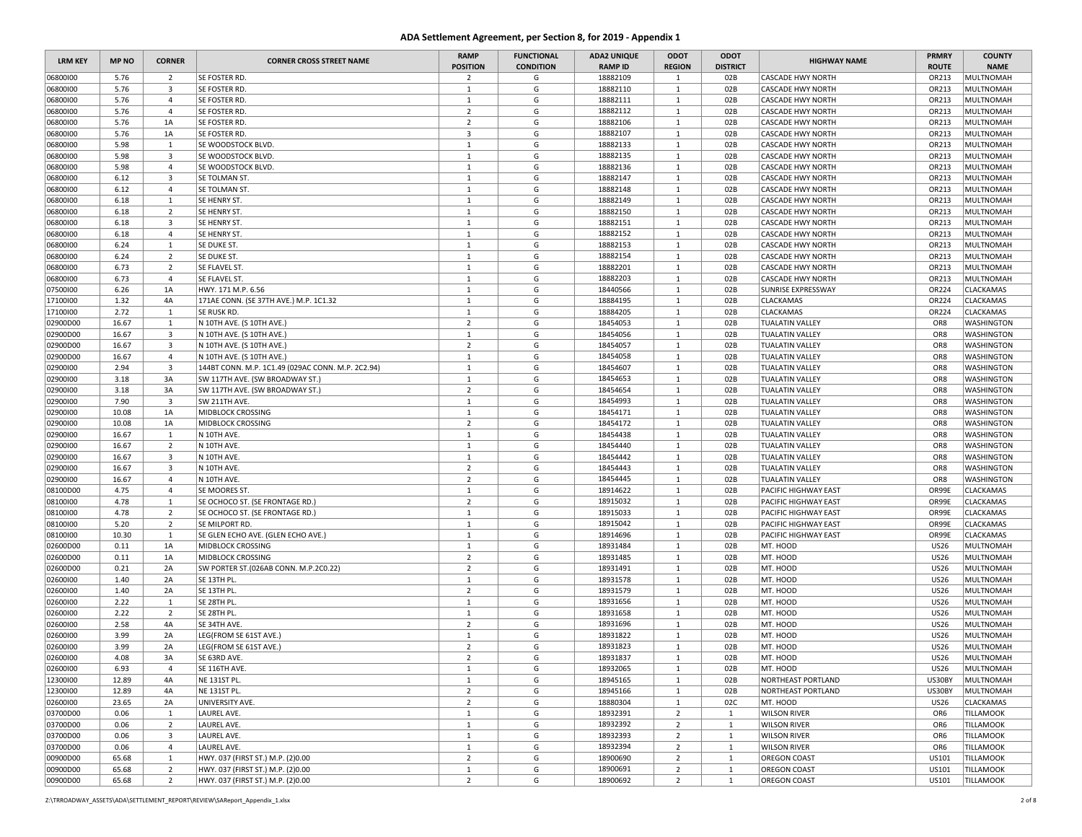| <b>LRM KEY</b>       | <b>MP NO</b>  | <b>CORNER</b>                             | <b>CORNER CROSS STREET NAME</b>                      | <b>RAMP</b><br><b>POSITION</b> | <b>FUNCTIONAL</b><br><b>CONDITION</b> | <b>ADA2 UNIQUE</b><br><b>RAMP ID</b> | ODOT<br><b>REGION</b>        | ODOT<br><b>DISTRICT</b> | <b>HIGHWAY NAME</b>                                  | <b>PRMRY</b><br><b>ROUTE</b> | <b>COUNTY</b><br><b>NAME</b>  |
|----------------------|---------------|-------------------------------------------|------------------------------------------------------|--------------------------------|---------------------------------------|--------------------------------------|------------------------------|-------------------------|------------------------------------------------------|------------------------------|-------------------------------|
| 06800100             | 5.76          | 2                                         | SE FOSTER RD.                                        | $\overline{2}$                 | G                                     | 18882109                             | 1                            | 02B                     | <b>CASCADE HWY NORTH</b>                             | OR213                        | <b>MULTNOMAH</b>              |
| 06800100             | 5.76          | $\overline{\mathbf{3}}$                   | SE FOSTER RD.                                        | $\mathbf{1}$                   | G                                     | 18882110                             | $\mathbf{1}$                 | 02B                     | <b>CASCADE HWY NORTH</b>                             | OR213                        | MULTNOMAH                     |
| 06800100             | 5.76          | $\overline{4}$                            | SE FOSTER RD.                                        | $\mathbf{1}$                   | G                                     | 18882111                             | $\mathbf{1}$                 | 02B                     | <b>CASCADE HWY NORTH</b>                             | OR213                        | <b>MULTNOMAH</b>              |
| 06800100             | 5.76          | $\overline{4}$                            | SE FOSTER RD.                                        | $\overline{2}$                 | G                                     | 18882112                             | $\mathbf{1}$                 | 02B                     | <b>CASCADE HWY NORTH</b>                             | OR213                        | <b>MULTNOMAH</b>              |
| 06800100             | 5.76          | 1A                                        | SE FOSTER RD.                                        | $\overline{2}$                 | G                                     | 18882106                             | 1                            | 02B                     | <b>CASCADE HWY NORTH</b>                             | OR213                        | <b>MULTNOMAH</b>              |
| 06800100             | 5.76          | 1A                                        | SE FOSTER RD.                                        | $\overline{\mathbf{3}}$        | G                                     | 18882107                             | <sup>1</sup>                 | 02B                     | <b>CASCADE HWY NORTH</b>                             | OR213                        | <b>MULTNOMAH</b>              |
| 06800100             | 5.98          | $\mathbf{1}$                              | SE WOODSTOCK BLVD.                                   | $\mathbf{1}$                   | G                                     | 18882133                             | $\mathbf{1}$                 | 02B                     | <b>CASCADE HWY NORTH</b>                             | OR213                        | <b>MULTNOMAH</b>              |
| 06800100             | 5.98          | $\overline{\mathbf{3}}$                   | SE WOODSTOCK BLVD                                    | $\mathbf{1}$                   | G                                     | 18882135                             | $\mathbf{1}$                 | 02B                     | <b>CASCADE HWY NORTH</b>                             | OR213                        | MULTNOMAH                     |
| 06800100             | 5.98          | $\overline{4}$                            | SE WOODSTOCK BLVD.                                   | $\mathbf{1}$<br>1              | G<br>G                                | 18882136<br>18882147                 | $\mathbf{1}$                 | 02B                     | <b>CASCADE HWY NORTH</b><br><b>CASCADE HWY NORTH</b> | OR213                        | MULTNOMAH                     |
| 06800100<br>06800100 | 6.12<br>6.12  | $\overline{\mathbf{3}}$<br>$\overline{4}$ | SE TOLMAN ST.<br>SE TOLMAN ST.                       | 1                              | G                                     | 18882148                             | $\mathbf{1}$<br>$\mathbf{1}$ | 02B<br>02B              | <b>CASCADE HWY NORTH</b>                             | OR213<br>OR213               | <b>MULTNOMAH</b><br>MULTNOMAH |
| 06800100             | 6.18          | 1                                         | SE HENRY ST.                                         | <sup>1</sup>                   | G                                     | 18882149                             | 1                            | 02B                     | <b>CASCADE HWY NORTH</b>                             | OR213                        | <b>MULTNOMAH</b>              |
| 06800100             | 6.18          | $\overline{2}$                            | SE HENRY ST.                                         | 1                              | G                                     | 18882150                             | $\mathbf{1}$                 | 02B                     | <b>CASCADE HWY NORTH</b>                             | OR213                        | MULTNOMAH                     |
| 06800100             | 6.18          | $\overline{\mathbf{3}}$                   | SE HENRY ST                                          | $\mathbf{1}$                   | G                                     | 18882151                             | $\mathbf{1}$                 | 02B                     | <b>CASCADE HWY NORTH</b>                             | OR213                        | <b>MULTNOMAH</b>              |
| 06800100             | 6.18          | $\overline{4}$                            | SE HENRY ST.                                         | 1                              | G                                     | 18882152                             | 1                            | 02B                     | <b>CASCADE HWY NORTH</b>                             | OR213                        | <b>MULTNOMAH</b>              |
| 06800100             | 6.24          | 1                                         | SE DUKE ST.                                          | $\mathbf{1}$                   | G                                     | 18882153                             | <sup>1</sup>                 | 02B                     | <b>CASCADE HWY NORTH</b>                             | OR213                        | <b>MULTNOMAH</b>              |
| 06800100             | 6.24          | $\overline{2}$                            | SE DUKE ST.                                          | $\mathbf{1}$                   | G                                     | 18882154                             | $\mathbf{1}$                 | 02B                     | <b>CASCADE HWY NORTH</b>                             | OR213                        | <b>MULTNOMAH</b>              |
| 06800100             | 6.73          | $\overline{2}$                            | SE FLAVEL ST.                                        | $\mathbf{1}$                   | G                                     | 18882201                             | $\mathbf{1}$                 | 02B                     | <b>CASCADE HWY NORTH</b>                             | OR213                        | <b>MULTNOMAH</b>              |
| 06800100             | 6.73          | $\overline{4}$                            | SE FLAVEL ST.                                        | 1                              | G                                     | 18882203                             | $\mathbf{1}$                 | 02B                     | <b>CASCADE HWY NORTH</b>                             | OR213                        | MULTNOMAH                     |
| 07500100             | 6.26          | 1A                                        | HWY. 171 M.P. 6.56                                   | $\mathbf{1}$                   | G                                     | 18440566                             | $\mathbf{1}$                 | 02B                     | <b>SUNRISE EXPRESSWAY</b>                            | OR224                        | CLACKAMAS                     |
| 17100100             | 1.32          | 4A                                        | 171AE CONN. (SE 37TH AVE.) M.P. 1C1.32               | $\mathbf{1}$                   | G                                     | 18884195                             | 1                            | 02B                     | <b>CLACKAMAS</b>                                     | OR224                        | CLACKAMAS                     |
| 17100100             | 2.72          | $\mathbf{1}$                              | SE RUSK RD.                                          | $\mathbf{1}$                   | G                                     | 18884205                             | $\mathbf{1}$                 | 02B                     | CLACKAMAS                                            | OR224                        | CLACKAMAS                     |
| 02900D00             | 16.67         | 1                                         | N 10TH AVE. (S 10TH AVE.)                            | $\overline{2}$                 | G                                     | 18454053                             | <sup>1</sup>                 | 02B                     | <b>TUALATIN VALLEY</b>                               | OR8                          | <b>WASHINGTON</b>             |
| 02900D00             | 16.67         | $\overline{\mathbf{3}}$                   | N 10TH AVE. (S 10TH AVE.)                            | $\mathbf{1}$                   | G                                     | 18454056                             | <sup>1</sup>                 | 02B                     | <b>TUALATIN VALLEY</b>                               | OR8                          | <b>WASHINGTON</b>             |
| 02900D00             | 16.67         | $\overline{\mathbf{3}}$                   | N 10TH AVE. (S 10TH AVE.)                            | $\overline{2}$                 | G                                     | 18454057                             | $\mathbf{1}$                 | 02B                     | <b>TUALATIN VALLEY</b>                               | OR8                          | <b>WASHINGTON</b>             |
| 02900D00             | 16.67         | $\overline{4}$                            | N 10TH AVE. (S 10TH AVE.)                            | $\mathbf{1}$                   | G                                     | 18454058                             | $\mathbf{1}$                 | 02B                     | <b>TUALATIN VALLEY</b>                               | OR8                          | <b>WASHINGTON</b>             |
| 02900100             | 2.94          | 3                                         | 144BT CONN. M.P. 1C1.49 (029AC CONN. M.P. 2C2.94)    | 1                              | G                                     | 18454607                             | <sup>1</sup>                 | 02B                     | <b>TUALATIN VALLEY</b>                               | OR8                          | <b>WASHINGTON</b>             |
| 02900100             | 3.18          | 3A                                        | SW 117TH AVE. (SW BROADWAY ST.)                      | $\mathbf{1}$                   | G                                     | 18454653                             | $\mathbf{1}$                 | 02B                     | <b>TUALATIN VALLEY</b>                               | OR <sub>8</sub>              | <b>WASHINGTON</b>             |
| 02900100             | 3.18          | 3A                                        | SW 117TH AVE. (SW BROADWAY ST.)                      | $\overline{2}$                 | G                                     | 18454654                             | $\mathbf{1}$                 | 02B                     | <b>TUALATIN VALLEY</b>                               | OR8                          | <b>WASHINGTON</b>             |
| 02900100             | 7.90          | 3                                         | SW 211TH AVE.                                        | $\mathbf{1}$                   | G                                     | 18454993                             | <sup>1</sup>                 | 02B                     | <b>TUALATIN VALLEY</b>                               | OR8                          | WASHINGTON                    |
| 02900100             | 10.08         | 1A                                        | MIDBLOCK CROSSING                                    | 1                              | G                                     | 18454171                             | $\mathbf{1}$                 | 02B                     | <b>TUALATIN VALLEY</b>                               | OR8                          | WASHINGTON                    |
| 02900100             | 10.08         | 1A                                        | MIDBLOCK CROSSING                                    | $\overline{2}$                 | G                                     | 18454172                             | $\mathbf{1}$                 | 02B                     | <b>TUALATIN VALLEY</b>                               | OR8                          | WASHINGTON                    |
| 02900100             | 16.67         | 1                                         | N 10TH AVE.                                          | $\mathbf{1}$                   | G                                     | 18454438                             | 1                            | 02B                     | <b>TUALATIN VALLEY</b>                               | OR8                          | <b>WASHINGTON</b>             |
| 02900100             | 16.67         | $\overline{2}$                            | N 10TH AVE.                                          | $\mathbf{1}$                   | G                                     | 18454440                             | $\mathbf{1}$                 | 02B                     | <b>TUALATIN VALLEY</b>                               | OR8                          | WASHINGTON                    |
| 02900100             | 16.67         | $\overline{\mathbf{3}}$                   | N 10TH AVE.                                          | $\mathbf{1}$                   | G                                     | 18454442                             | $\mathbf{1}$                 | 02B                     | <b>TUALATIN VALLEY</b>                               | OR <sub>8</sub>              | <b>WASHINGTON</b>             |
| 02900100             | 16.67         | $\overline{\mathbf{3}}$                   | N 10TH AVE.                                          | $\overline{2}$                 | G                                     | 18454443                             | $\mathbf{1}$                 | 02B                     | <b>TUALATIN VALLEY</b>                               | OR8                          | <b>WASHINGTON</b>             |
| 02900100             | 16.67         | $\overline{4}$                            | N 10TH AVE.                                          | $\overline{2}$                 | G                                     | 18454445                             | 1                            | 02B                     | <b>TUALATIN VALLEY</b>                               | OR8                          | <b>WASHINGTON</b>             |
| 08100D00             | 4.75          | $\overline{4}$                            | SE MOORES ST.                                        | $\mathbf{1}$                   | G                                     | 18914622                             | $\mathbf{1}$                 | 02B                     | PACIFIC HIGHWAY EAST                                 | OR99E                        | CLACKAMAS                     |
| 08100100             | 4.78          | 1                                         | SE OCHOCO ST. (SE FRONTAGE RD.)                      | $\overline{2}$                 | G                                     | 18915032                             | $\mathbf{1}$                 | 02B                     | PACIFIC HIGHWAY EAST                                 | OR99E                        | CLACKAMAS                     |
| 08100100             | 4.78          | $\overline{2}$                            | SE OCHOCO ST. (SE FRONTAGE RD.)                      | 1                              | G                                     | 18915033<br>18915042                 | $\mathbf{1}$                 | 02B                     | <b>PACIFIC HIGHWAY EAST</b>                          | OR99E                        | CLACKAMAS                     |
| 08100100<br>08100100 | 5.20<br>10.30 | $\overline{2}$<br>1                       | SE MILPORT RD.<br>SE GLEN ECHO AVE. (GLEN ECHO AVE.) | 1<br>1                         | G<br>G                                | 18914696                             | <sup>1</sup><br>1            | 02B<br>02B              | PACIFIC HIGHWAY EAST<br>PACIFIC HIGHWAY EAST         | OR99E<br>OR99E               | CLACKAMAS<br>CLACKAMAS        |
| 02600D00             | 0.11          | 1A                                        | MIDBLOCK CROSSING                                    | $\mathbf{1}$                   | G                                     | 18931484                             | $\mathbf{1}$                 | 02B                     | MT. HOOD                                             | <b>US26</b>                  | <b>MULTNOMAH</b>              |
| 02600D00             | 0.11          | 1A                                        | MIDBLOCK CROSSING                                    | $\overline{2}$                 | G                                     | 18931485                             | $\mathbf{1}$                 | 02B                     | MT. HOOD                                             | <b>US26</b>                  | MULTNOMAH                     |
| 02600D00             | 0.21          | 2A                                        | SW PORTER ST. (026AB CONN. M.P.2C0.22)               | $\overline{2}$                 | G                                     | 18931491                             | $\mathbf{1}$                 | 02B                     | MT. HOOD                                             | <b>US26</b>                  | <b>MULTNOMAH</b>              |
| 02600100             | 1.40          | 2A                                        | SE 13TH PL.                                          | $\mathbf{1}$                   | G                                     | 18931578                             | $\mathbf{1}$                 | 02B                     | MT. HOOD                                             | <b>US26</b>                  | <b>MULTNOMAH</b>              |
| 02600100             | 1.40          | 2A                                        | SE 13TH PL.                                          | $\overline{2}$                 | G                                     | 18931579                             | $\mathbf{1}$                 | 02B                     | MT. HOOD                                             | <b>US26</b>                  | <b>MULTNOMAH</b>              |
| 02600100             | 2.22          | 1                                         | SE 28TH PL.                                          | 1                              | G                                     | 18931656                             | 1                            | 02B                     | MT. HOOD                                             | <b>US26</b>                  | <b>MULTNOMAH</b>              |
| 02600100             | 2.22          | $\overline{2}$                            | SE 28TH PL.                                          | 1                              | G                                     | 18931658                             | $\mathbf{1}$                 | 02B                     | MT. HOOD                                             | <b>US26</b>                  | <b>MULTNOMAH</b>              |
| 02600100             | 2.58          | 4A                                        | SE 34TH AVE.                                         | $\overline{2}$                 | G                                     | 18931696                             | $\mathbf{1}$                 | 02B                     | MT. HOOD                                             | <b>US26</b>                  | <b>MULTNOMAH</b>              |
| 02600100             | 3.99          | 2A                                        | LEG(FROM SE 61ST AVE.)                               | $\mathbf{1}$                   | G                                     | 18931822                             | 1                            | 02B                     | MT. HOOD                                             | <b>US26</b>                  | MULTNOMAH                     |
| 02600100             | 3.99          | 2A                                        | LEG(FROM SE 61ST AVE.)                               | $\overline{2}$                 | G                                     | 18931823                             | $\mathbf{1}$                 | 02B                     | MT. HOOD                                             | <b>US26</b>                  | MULTNOMAH                     |
| 02600100             | 4.08          | 3A                                        | SE 63RD AVE.                                         | $\overline{2}$                 | G                                     | 18931837                             | $\mathbf{1}$                 | 02B                     | MT. HOOD                                             | <b>US26</b>                  | <b>MULTNOMAH</b>              |
| 02600100             | 6.93          | $\overline{4}$                            | SE 116TH AVE.                                        | $\mathbf{1}$                   | G                                     | 18932065                             | $\mathbf{1}$                 | 02B                     | MT. HOOD                                             | <b>US26</b>                  | MULTNOMAH                     |
| 12300100             | 12.89         | 4A                                        | NE 131ST PL.                                         | 1                              | G                                     | 18945165                             | $\mathbf{1}$                 | 02B                     | NORTHEAST PORTLAND                                   | US30BY                       | <b>MULTNOMAH</b>              |
| 12300100             | 12.89         | 4A                                        | NE 131ST PL.                                         | $\overline{2}$                 | G                                     | 18945166                             | $\mathbf{1}$                 | 02B                     | <b>NORTHEAST PORTLAND</b>                            | US30BY                       | MULTNOMAH                     |
| 02600100             | 23.65         | 2A                                        | UNIVERSITY AVE.                                      | $\overline{2}$                 | G                                     | 18880304                             | $\mathbf{1}$                 | 02C                     | MT. HOOD                                             | <b>US26</b>                  | CLACKAMAS                     |
| 03700D00             | 0.06          | $\mathbf{1}$                              | LAUREL AVE.                                          | $\mathbf{1}$                   | G                                     | 18932391                             | $\overline{2}$               | $\mathbf{1}$            | <b>WILSON RIVER</b>                                  | OR6                          | <b>TILLAMOOK</b>              |
| 03700D00             | 0.06          | $\overline{2}$                            | LAUREL AVE.                                          | $\mathbf{1}$                   | G                                     | 18932392                             | $\overline{2}$               | $\mathbf{1}$            | <b>WILSON RIVER</b>                                  | OR6                          | <b>TILLAMOOK</b>              |
| 03700D00             | 0.06          | $\overline{\mathbf{3}}$                   | LAUREL AVE.                                          | $\mathbf{1}$                   | G                                     | 18932393                             | $\overline{2}$               | $\mathbf{1}$            | <b>WILSON RIVER</b>                                  | OR6                          | TILLAMOOK                     |
| 03700D00             | 0.06          | $\overline{4}$                            | LAUREL AVE.                                          | $\mathbf{1}$                   | G                                     | 18932394                             | $\overline{2}$               | $\mathbf{1}$            | <b>WILSON RIVER</b>                                  | OR6                          | <b>TILLAMOOK</b>              |
| 00900D00             | 65.68         | 1                                         | HWY. 037 (FIRST ST.) M.P. (2)0.00                    | $\overline{2}$                 | G                                     | 18900690                             | $\overline{2}$               | $\mathbf{1}$            | OREGON COAST                                         | US101                        | TILLAMOOK                     |
| 00900D00             | 65.68         | $\overline{2}$                            | HWY. 037 (FIRST ST.) M.P. (2)0.00                    | $\mathbf{1}$                   | G                                     | 18900691                             | $\overline{2}$               | $\mathbf{1}$            | <b>OREGON COAST</b>                                  | US101                        | <b>TILLAMOOK</b>              |
| 00900D00             | 65.68         | $\overline{2}$                            | HWY. 037 (FIRST ST.) M.P. (2)0.00                    | $\overline{2}$                 | G                                     | 18900692                             | $\overline{2}$               | $\mathbf{1}$            | <b>OREGON COAST</b>                                  | US101                        | <b>TILLAMOOK</b>              |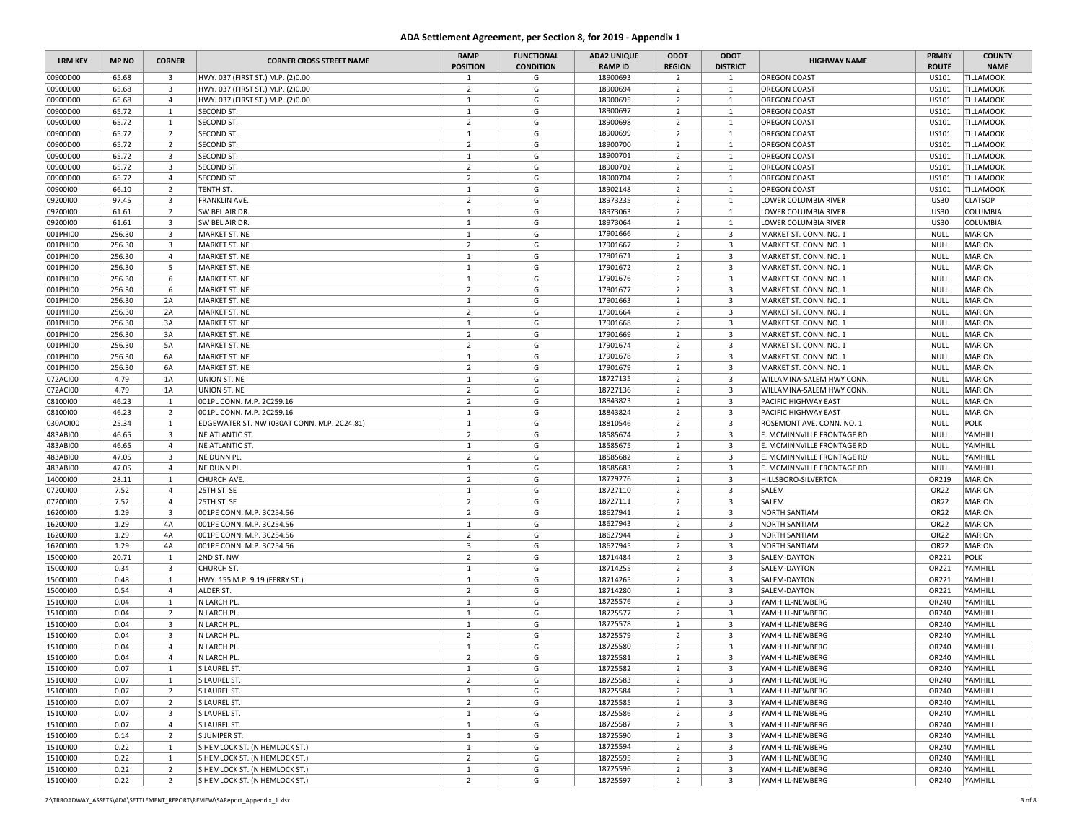| <b>LRM KEY</b> | <b>MP NO</b> | <b>CORNER</b>           | <b>CORNER CROSS STREET NAME</b>             | <b>RAMP</b><br><b>POSITION</b> | <b>FUNCTIONAL</b><br><b>CONDITION</b> | <b>ADA2 UNIQUE</b><br><b>RAMP ID</b> | ODOT<br><b>REGION</b> | ODOT<br><b>DISTRICT</b> | <b>HIGHWAY NAME</b>        | <b>PRMRY</b><br><b>ROUTE</b> | <b>COUNTY</b><br><b>NAME</b> |
|----------------|--------------|-------------------------|---------------------------------------------|--------------------------------|---------------------------------------|--------------------------------------|-----------------------|-------------------------|----------------------------|------------------------------|------------------------------|
| 00900D00       | 65.68        | $\overline{\mathbf{3}}$ | HWY. 037 (FIRST ST.) M.P. (2)0.00           | $\mathbf{1}$                   | G                                     | 18900693                             | $\overline{2}$        | $\mathbf{1}$            | OREGON COAST               | US101                        | <b>TILLAMOOK</b>             |
| 00900D00       | 65.68        | 3                       | HWY. 037 (FIRST ST.) M.P. (2)0.00           | $\overline{2}$                 | G                                     | 18900694                             | $\overline{2}$        | 1                       | <b>OREGON COAST</b>        | US101                        | <b>TILLAMOOK</b>             |
| 00900D00       | 65.68        | $\overline{4}$          | HWY. 037 (FIRST ST.) M.P. (2)0.00           | $\mathbf{1}$                   | G                                     | 18900695                             | $\overline{2}$        | $\mathbf{1}$            | <b>OREGON COAST</b>        | US101                        | <b>TILLAMOOK</b>             |
| 00900D00       | 65.72        | $\mathbf{1}$            | SECOND ST.                                  | $\mathbf{1}$                   | G                                     | 18900697                             | $\overline{2}$        | $\mathbf{1}$            | <b>OREGON COAST</b>        | US101                        | <b>TILLAMOOK</b>             |
| 00900D00       | 65.72        | 1                       | SECOND ST.                                  | $\overline{2}$                 | G                                     | 18900698                             | $\overline{2}$        | 1                       | <b>OREGON COAST</b>        | US101                        | <b>TILLAMOOK</b>             |
| 00900D00       | 65.72        | $\overline{2}$          | SECOND ST.                                  | $\mathbf{1}$                   | G                                     | 18900699                             | $\overline{2}$        | $\mathbf{1}$            | OREGON COAST               | US101                        | <b>TILLAMOOK</b>             |
| 00900D00       | 65.72        | $\overline{2}$          | <b>SECOND ST.</b>                           | $\overline{2}$                 | G                                     | 18900700                             | $\overline{2}$        | $\mathbf{1}$            | <b>OREGON COAST</b>        | US101                        | <b>TILLAMOOK</b>             |
| 00900D00       | 65.72        | 3                       | SECOND ST.                                  | $\mathbf{1}$                   | G                                     | 18900701                             | $\overline{2}$        | $\mathbf{1}$            | <b>OREGON COAST</b>        | US101                        | <b>TILLAMOOK</b>             |
| 00900D00       | 65.72        | 3                       | SECOND ST.                                  | $\overline{2}$                 | G                                     | 18900702                             | $\overline{2}$        | $\mathbf{1}$            | <b>OREGON COAST</b>        | US101                        | <b>TILLAMOOK</b>             |
| 00900D00       | 65.72        | $\overline{4}$          | SECOND ST.                                  | $\overline{2}$                 | G                                     | 18900704                             | $\overline{2}$        | $\mathbf{1}$            | <b>OREGON COAST</b>        | US101                        | <b>TILLAMOOK</b>             |
| 00900100       | 66.10        | $\overline{2}$          | TENTH ST.                                   | $\mathbf{1}$                   | G                                     | 18902148                             | $\overline{2}$        | $\mathbf{1}$            | <b>OREGON COAST</b>        | US101                        | <b>TILLAMOOK</b>             |
| 09200100       | 97.45        | 3                       | FRANKLIN AVE.                               | $\overline{2}$                 | G                                     | 18973235                             | $\overline{2}$        | $\mathbf{1}$            | LOWER COLUMBIA RIVER       | <b>US30</b>                  | <b>CLATSOP</b>               |
| 09200100       | 61.61        | $\overline{2}$          | SW BEL AIR DR.                              | $\mathbf{1}$                   | G                                     | 18973063                             | $\overline{2}$        | $\mathbf{1}$            | LOWER COLUMBIA RIVER       | <b>US30</b>                  | COLUMBIA                     |
| 09200100       | 61.61        | 3                       | SW BEL AIR DR.                              | $\mathbf{1}$                   | G                                     | 18973064                             | $\overline{2}$        | $\mathbf{1}$            | LOWER COLUMBIA RIVER       | <b>US30</b>                  | COLUMBIA                     |
| 001PHI00       | 256.30       | $\overline{\mathbf{3}}$ | MARKET ST. NE                               | $\mathbf{1}$                   | G                                     | 17901666                             | $\overline{2}$        | $\overline{\mathbf{3}}$ | MARKET ST. CONN. NO. 1     | <b>NULL</b>                  | <b>MARION</b>                |
| 001PHI00       | 256.30       | 3                       | MARKET ST. NE                               | $\overline{2}$                 | G                                     | 17901667                             | $\overline{2}$        | $\overline{\mathbf{3}}$ | MARKET ST. CONN. NO. 1     | <b>NULL</b>                  | <b>MARION</b>                |
| 001PHI00       | 256.30       | $\overline{4}$          | MARKET ST. NE                               | $\mathbf{1}$                   | G                                     | 17901671                             | $\overline{2}$        | $\overline{\mathbf{3}}$ | MARKET ST. CONN. NO. 1     | <b>NULL</b>                  | <b>MARION</b>                |
| 001PHI00       | 256.30       | -5                      | MARKET ST. NE                               | $\mathbf{1}$                   | G                                     | 17901672                             | $\overline{2}$        | $\overline{\mathbf{3}}$ | MARKET ST. CONN. NO. 1     | NULL                         | <b>MARION</b>                |
| 001PHI00       | 256.30       | 6                       | MARKET ST. NE                               | $\mathbf{1}$                   | G                                     | 17901676                             | $\overline{2}$        | $\overline{\mathbf{3}}$ | MARKET ST. CONN. NO. 1     | <b>NULL</b>                  | <b>MARION</b>                |
| 001PHI00       | 256.30       | 6                       | MARKET ST. NE                               | $\overline{2}$                 | G                                     | 17901677                             | $\overline{2}$        | $\overline{\mathbf{3}}$ | MARKET ST. CONN. NO. 1     | <b>NULL</b>                  | <b>MARION</b>                |
| 001PHI00       | 256.30       | 2A                      | MARKET ST. NE                               | $\mathbf{1}$                   | G                                     | 17901663                             | $\overline{2}$        | $\overline{\mathbf{3}}$ | MARKET ST. CONN. NO. 1     | <b>NULL</b>                  | <b>MARION</b>                |
| 001PHI00       | 256.30       | 2A                      | MARKET ST. NE                               | $\overline{2}$                 | G                                     | 17901664                             | $\overline{2}$        | $\overline{3}$          | MARKET ST. CONN. NO. 1     | <b>NULL</b>                  | <b>MARION</b>                |
| 001PHI00       | 256.30       | 3A                      | MARKET ST. NE                               | $\mathbf{1}$                   | G                                     | 17901668                             | $\overline{2}$        | $\overline{\mathbf{3}}$ | MARKET ST. CONN. NO. 1     | <b>NULL</b>                  | <b>MARION</b>                |
| 001PHI00       | 256.30       | 3A                      | MARKET ST. NE                               | $\overline{2}$                 | G                                     | 17901669                             | $\overline{2}$        | $\overline{\mathbf{3}}$ | MARKET ST. CONN. NO. 1     | <b>NULL</b>                  | <b>MARION</b>                |
| 001PHI00       | 256.30       | 5A                      | MARKET ST. NE                               | $\overline{2}$                 | G                                     | 17901674                             | $\overline{2}$        | $\overline{\mathbf{3}}$ | MARKET ST. CONN. NO. 1     | NULL                         | <b>MARION</b>                |
| 001PHI00       | 256.30       | 6A                      | MARKET ST. NE                               | $\mathbf{1}$                   | G                                     | 17901678                             | $\overline{2}$        | $\overline{\mathbf{3}}$ | MARKET ST. CONN. NO. 1     | <b>NULL</b>                  | <b>MARION</b>                |
| 001PHI00       | 256.30       | 6A                      | MARKET ST. NE                               | $\overline{2}$                 | G                                     | 17901679                             | $\overline{2}$        | $\overline{3}$          | MARKET ST. CONN. NO. 1     | <b>NULL</b>                  | <b>MARION</b>                |
| 072ACI00       | 4.79         | 1A                      | UNION ST. NE                                | $\mathbf{1}$                   | G                                     | 18727135                             | $\overline{2}$        | $\overline{3}$          | WILLAMINA-SALEM HWY CONN.  | <b>NULL</b>                  | <b>MARION</b>                |
| 072ACI00       | 4.79         | 1A                      | UNION ST. NE                                | $\overline{2}$                 | G                                     | 18727136                             | $\overline{2}$        | $\overline{\mathbf{3}}$ | WILLAMINA-SALEM HWY CONN.  | <b>NULL</b>                  | <b>MARION</b>                |
| 08100100       | 46.23        | 1                       | 001PL CONN. M.P. 2C259.16                   | $\overline{2}$                 | G                                     | 18843823                             | $\overline{2}$        | $\overline{\mathbf{3}}$ | PACIFIC HIGHWAY EAST       | <b>NULL</b>                  | <b>MARION</b>                |
| 08100100       | 46.23        | $\overline{2}$          | 001PL CONN. M.P. 2C259.16                   | $\mathbf{1}$                   | G                                     | 18843824                             | $\overline{2}$        | $\overline{\mathbf{3}}$ | PACIFIC HIGHWAY EAST       | <b>NULL</b>                  | <b>MARION</b>                |
| 030AOI00       | 25.34        | 1                       | EDGEWATER ST. NW (030AT CONN. M.P. 2C24.81) | $\mathbf{1}$                   | G                                     | 18810546                             | $\overline{2}$        | $\overline{3}$          | ROSEMONT AVE. CONN. NO. 1  | <b>NULL</b>                  | POLK                         |
| 483ABI00       | 46.65        | $\overline{\mathbf{3}}$ | NE ATLANTIC ST.                             | $\overline{2}$                 | G                                     | 18585674                             | $\overline{2}$        | $\overline{\mathbf{3}}$ | E. MCMINNVILLE FRONTAGE RD | <b>NULL</b>                  | YAMHILL                      |
| 483ABI00       | 46.65        | 4                       | NE ATLANTIC ST.                             | $\mathbf{1}$                   | G                                     | 18585675                             | $\overline{2}$        | $\overline{3}$          | E. MCMINNVILLE FRONTAGE RD | NULL                         | YAMHILL                      |
| 483ABI00       | 47.05        | 3                       | NE DUNN PL.                                 | $\overline{2}$                 | G                                     | 18585682                             | $\overline{2}$        | $\overline{\mathbf{3}}$ | E. MCMINNVILLE FRONTAGE RD | <b>NULL</b>                  | YAMHILL                      |
| 483ABI00       | 47.05        | 4                       | NE DUNN PL.                                 | $\mathbf{1}$                   | G                                     | 18585683                             | $\overline{2}$        | 3                       | E. MCMINNVILLE FRONTAGE RD | <b>NULL</b>                  | YAMHILL                      |
| 14000100       | 28.11        | 1                       | CHURCH AVE.                                 | $\overline{2}$                 | G                                     | 18729276                             | $\overline{2}$        | $\overline{\mathbf{3}}$ | HILLSBORO-SILVERTON        | OR219                        | <b>MARION</b>                |
| 07200100       | 7.52         | 4                       | 25TH ST. SE                                 | $\mathbf{1}$                   | G                                     | 18727110                             | $\overline{2}$        | $\overline{\mathbf{3}}$ | SALEM                      | OR22                         | <b>MARION</b>                |
| 07200100       | 7.52         | $\overline{4}$          | 25TH ST. SE                                 | $\overline{2}$                 | G                                     | 18727111                             | $\overline{2}$        | $\overline{\mathbf{3}}$ | SALEM                      | OR22                         | <b>MARION</b>                |
| 16200100       | 1.29         | $\overline{\mathbf{3}}$ | 001PE CONN. M.P. 3C254.56                   | $\overline{2}$                 | G                                     | 18627941                             | $\overline{2}$        | $\overline{\mathbf{3}}$ | NORTH SANTIAM              | OR22                         | <b>MARION</b>                |
| 16200100       | 1.29         | 4A                      | 001PE CONN. M.P. 3C254.56                   | 1                              | G                                     | 18627943                             | $\overline{2}$        | $\overline{\mathbf{3}}$ | <b>NORTH SANTIAM</b>       | <b>OR22</b>                  | <b>MARION</b>                |
| 16200100       | 1.29         | 4A                      | 001PE CONN. M.P. 3C254.56                   | $\overline{2}$                 | G                                     | 18627944                             | $\overline{2}$        | $\overline{\mathbf{3}}$ | <b>NORTH SANTIAM</b>       | OR22                         | <b>MARION</b>                |
| 16200100       | 1.29         | 4A                      | 001PE CONN. M.P. 3C254.56                   | $\overline{\mathbf{3}}$        | G                                     | 18627945                             | $\overline{2}$        | $\overline{\mathbf{3}}$ | <b>NORTH SANTIAM</b>       | OR22                         | <b>MARION</b>                |
| 15000100       | 20.71        | <sup>1</sup>            | 2ND ST. NW                                  | $\overline{2}$                 | G                                     | 18714484                             | $\overline{2}$        | $\overline{\mathbf{3}}$ | SALEM-DAYTON               | OR221                        | POLK                         |
| 15000100       | 0.34         | $\overline{\mathbf{3}}$ | CHURCH ST.                                  | $\mathbf{1}$                   | G                                     | 18714255                             | $\overline{2}$        | $\overline{\mathbf{3}}$ | SALEM-DAYTON               | OR221                        | YAMHILL                      |
| 15000100       | 0.48         | $\mathbf{1}$            | HWY. 155 M.P. 9.19 (FERRY ST.)              | $\mathbf{1}$                   | G                                     | 18714265                             | $\overline{2}$        | $\overline{\mathbf{3}}$ | SALEM-DAYTON               | OR221                        | YAMHILL                      |
| 15000100       | 0.54         | $\overline{4}$          | ALDER ST.                                   | $\overline{2}$                 | G                                     | 18714280                             | $\overline{2}$        | $\overline{\mathbf{3}}$ | SALEM-DAYTON               | OR221                        | YAMHILL                      |
| 15100100       | 0.04         | <sup>1</sup>            | N LARCH PL.                                 | $\mathbf{1}$                   | G                                     | 18725576                             | $\overline{2}$        | $\overline{\mathbf{3}}$ | YAMHILL-NEWBERG            | OR240                        | YAMHILL                      |
| 15100100       | 0.04         | $\overline{2}$          | N LARCH PL                                  | $\mathbf{1}$                   | G                                     | 18725577                             | $\overline{2}$        | $\overline{\mathbf{3}}$ | YAMHILL-NEWBERG            | OR240                        | YAMHILL                      |
| 15100100       | 0.04         | 3                       | N LARCH PL.                                 | $\mathbf{1}$                   | G                                     | 18725578                             | $\overline{2}$        | $\overline{\mathbf{3}}$ | YAMHILL-NEWBERG            | OR240                        | YAMHILL                      |
| 15100100       | 0.04         | $\overline{\mathbf{3}}$ | N LARCH PL                                  | $\overline{2}$                 | G                                     | 18725579                             | $\overline{2}$        | $\overline{\mathbf{3}}$ | YAMHILL-NEWBERG            | OR240                        | YAMHILL                      |
| 15100100       | 0.04         | $\overline{4}$          | N LARCH PL                                  | $\mathbf{1}$                   | G                                     | 18725580                             | $\overline{2}$        | $\overline{\mathbf{3}}$ | YAMHILL-NEWBERG            | OR240                        | YAMHILL                      |
| 15100100       | 0.04         | 4                       | N LARCH PL                                  | $\overline{2}$                 | G                                     | 18725581                             | $\overline{2}$        | $\overline{\mathbf{3}}$ | YAMHILL-NEWBERG            | OR240                        | YAMHILL                      |
| 15100100       | 0.07         | 1                       | S LAUREL ST.                                | $\mathbf{1}$                   | G                                     | 18725582                             | $\overline{2}$        | $\overline{\mathbf{3}}$ | YAMHILL-NEWBERG            | OR240                        | YAMHILL                      |
| 15100100       | 0.07         | $\mathbf{1}$            | S LAUREL ST.                                | $\overline{2}$                 | G                                     | 18725583                             | $\overline{2}$        | $\overline{\mathbf{3}}$ | YAMHILL-NEWBERG            | OR240                        | YAMHILL                      |
| 15100100       | 0.07         | $\overline{2}$          | S LAUREL ST.                                | $\mathbf{1}$                   | G                                     | 18725584                             | $\overline{2}$        | $\overline{\mathbf{3}}$ | YAMHILL-NEWBERG            | OR240                        | YAMHILL                      |
| 15100100       | 0.07         | $\overline{2}$          | S LAUREL ST.                                | $\overline{2}$                 | G                                     | 18725585                             | $\overline{2}$        | $\overline{\mathbf{3}}$ | YAMHILL-NEWBERG            | OR240                        | YAMHILL                      |
| 15100100       | 0.07         | $\overline{3}$          | S LAUREL ST.                                | $\mathbf{1}$                   | G                                     | 18725586                             | $\overline{2}$        | $\overline{3}$          | YAMHILL-NEWBERG            | OR240                        | YAMHILL                      |
| 15100100       | 0.07         | $\overline{4}$          | S LAUREL ST.                                | $\mathbf{1}$                   | G                                     | 18725587                             | $\overline{2}$        | $\overline{\mathbf{3}}$ | YAMHILL-NEWBERG            | OR240                        | YAMHILL                      |
| 15100100       | 0.14         | $\overline{2}$          | S JUNIPER ST.                               | $\mathbf{1}$                   | G                                     | 18725590                             | $\overline{2}$        | $\overline{\mathbf{3}}$ | YAMHILL-NEWBERG            | OR240                        | YAMHILL                      |
|                | 0.22         | $\mathbf{1}$            |                                             | $\mathbf{1}$                   | G                                     |                                      | $\overline{2}$        | $\overline{\mathbf{3}}$ |                            | OR240                        | YAMHILL                      |
| 15100100       |              |                         | S HEMLOCK ST. (N HEMLOCK ST.)               |                                |                                       | 18725594                             |                       |                         | YAMHILL-NEWBERG            |                              |                              |
| 15100100       | 0.22         | $\mathbf{1}$            | S HEMLOCK ST. (N HEMLOCK ST.)               | $\overline{2}$                 | G                                     | 18725595                             | $\overline{2}$        | $\overline{\mathbf{3}}$ | YAMHILL-NEWBERG            | OR240                        | YAMHILL                      |
| 15100100       | 0.22         | $\overline{2}$          | S HEMLOCK ST. (N HEMLOCK ST.)               | $\mathbf{1}$<br>$\overline{2}$ | G                                     | 18725596                             | $\overline{2}$        | $\overline{\mathbf{3}}$ | YAMHILL-NEWBERG            | OR240                        | YAMHILL                      |
| 15100100       | 0.22         | $\overline{2}$          | S HEMLOCK ST. (N HEMLOCK ST.)               |                                | G                                     | 18725597                             | $\overline{2}$        | $\overline{\mathbf{3}}$ | YAMHILL-NEWBERG            | OR240                        | YAMHILL                      |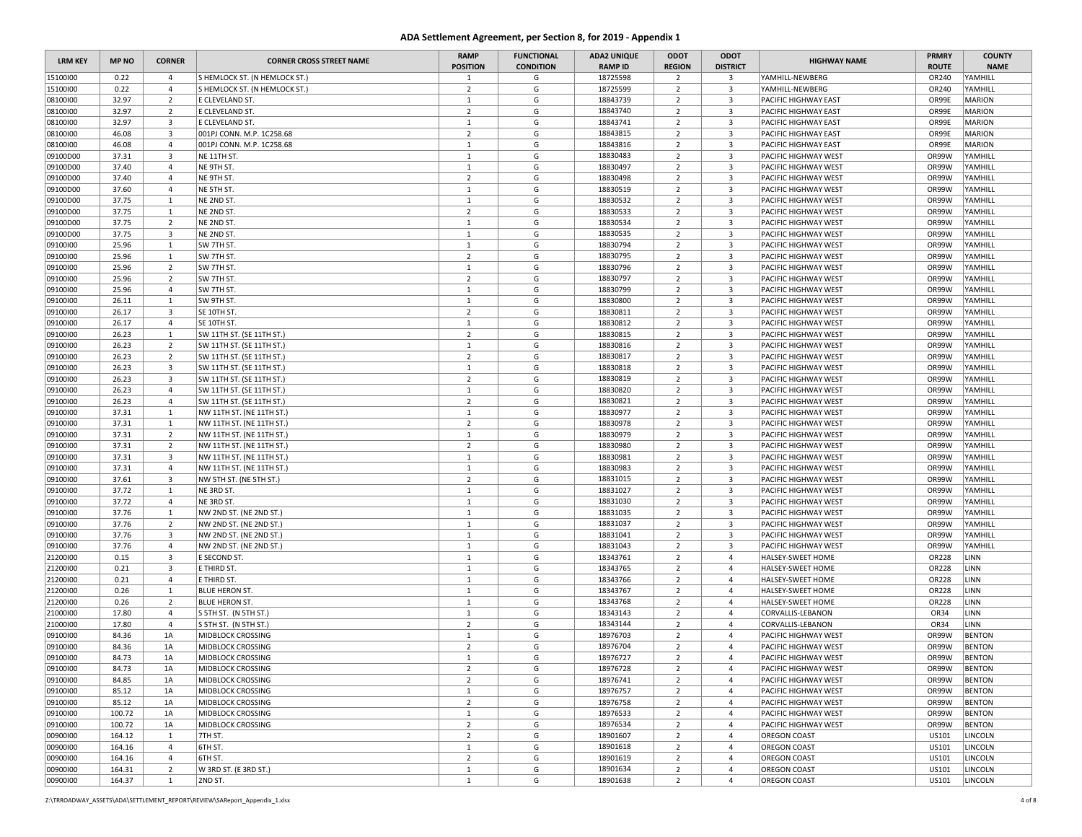| <b>LRM KEY</b> | <b>MP NO</b> | <b>CORNER</b>           | <b>CORNER CROSS STREET NAME</b> | <b>RAMP</b><br><b>POSITION</b> | <b>FUNCTIONAL</b><br><b>CONDITION</b> | <b>ADA2 UNIQUE</b><br><b>RAMP ID</b> | ODOT<br><b>REGION</b> | ODOT<br><b>DISTRICT</b> | <b>HIGHWAY NAME</b>         | <b>PRMRY</b><br><b>ROUTE</b> | <b>COUNTY</b><br><b>NAME</b> |
|----------------|--------------|-------------------------|---------------------------------|--------------------------------|---------------------------------------|--------------------------------------|-----------------------|-------------------------|-----------------------------|------------------------------|------------------------------|
| 15100100       | 0.22         | $\overline{4}$          | S HEMLOCK ST. (N HEMLOCK ST.)   | $\mathbf{1}$                   | G                                     | 18725598                             | $\overline{2}$        | $\overline{\mathbf{3}}$ | YAMHILL-NEWBERG             | OR240                        | YAMHILL                      |
| 15100100       | 0.22         | $\overline{4}$          | S HEMLOCK ST. (N HEMLOCK ST.)   | $\overline{2}$                 | G                                     | 18725599                             | $\overline{2}$        | $\overline{3}$          | YAMHILL-NEWBERG             | OR240                        | YAMHILL                      |
| 08100100       | 32.97        | $\overline{2}$          | E CLEVELAND ST.                 | $\mathbf{1}$                   | G                                     | 18843739                             | $\overline{2}$        | $\overline{\mathbf{3}}$ | PACIFIC HIGHWAY EAST        | OR99E                        | <b>MARION</b>                |
| 08100100       | 32.97        | $\overline{2}$          | E CLEVELAND ST.                 | $\overline{2}$                 | G                                     | 18843740                             | $\overline{2}$        | $\overline{3}$          | <b>PACIFIC HIGHWAY EAST</b> | OR99E                        | <b>MARION</b>                |
| 08100100       | 32.97        | 3                       | E CLEVELAND ST.                 | $\mathbf{1}$                   | G                                     | 18843741                             | $\overline{2}$        | $\overline{\mathbf{3}}$ | PACIFIC HIGHWAY EAST        | OR99E                        | <b>MARION</b>                |
| 08100100       | 46.08        | $\overline{\mathbf{3}}$ | 001PJ CONN. M.P. 1C258.68       | $\overline{2}$                 | G                                     | 18843815                             | $\overline{2}$        | $\overline{\mathbf{3}}$ | <b>PACIFIC HIGHWAY EAST</b> | OR99E                        | <b>MARION</b>                |
| 08100100       | 46.08        | $\overline{4}$          | 001PJ CONN. M.P. 1C258.68       | $\mathbf{1}$                   | G                                     | 18843816                             | $\overline{2}$        | $\overline{\mathbf{3}}$ | <b>PACIFIC HIGHWAY EAST</b> | OR99E                        | <b>MARION</b>                |
| 09100D00       | 37.31        | $\overline{\mathbf{3}}$ | NE 11TH ST.                     | $\mathbf{1}$                   | G                                     | 18830483                             | $\overline{2}$        | $\overline{\mathbf{3}}$ | <b>PACIFIC HIGHWAY WEST</b> | OR99W                        | YAMHILL                      |
| 09100D00       | 37.40        | $\overline{4}$          | NE 9TH ST.                      | $\mathbf{1}$                   | G                                     | 18830497                             | $\overline{2}$        | $\overline{\mathbf{3}}$ | <b>PACIFIC HIGHWAY WEST</b> | OR99W                        | YAMHILL                      |
| 09100D00       | 37.40        | $\overline{4}$          | NE 9TH ST.                      | $\overline{2}$                 | G                                     | 18830498                             | $\overline{2}$        | $\overline{\mathbf{3}}$ | PACIFIC HIGHWAY WEST        | OR99W                        | YAMHILL                      |
| 09100D00       | 37.60        | $\overline{4}$          | NE 5TH ST                       | $\mathbf{1}$                   | G                                     | 18830519                             | $\overline{2}$        | $\overline{3}$          | <b>PACIFIC HIGHWAY WEST</b> | OR99W                        | YAMHILL                      |
| 09100D00       | 37.75        | 1                       | NE 2ND ST.                      | $\mathbf{1}$                   | G                                     | 18830532                             | $\overline{2}$        | $\overline{\mathbf{3}}$ | <b>PACIFIC HIGHWAY WEST</b> | OR99W                        | YAMHILL                      |
| 09100D00       | 37.75        | 1                       | NE 2ND ST.                      | $\overline{2}$                 | G                                     | 18830533                             | $\overline{2}$        | $\overline{\mathbf{3}}$ | <b>PACIFIC HIGHWAY WEST</b> | OR99W                        | YAMHILL                      |
| 09100D00       | 37.75        | $\overline{2}$          | NE 2ND ST.                      | $\mathbf{1}$                   | G                                     | 18830534                             | $\overline{2}$        | $\overline{3}$          | PACIFIC HIGHWAY WEST        | OR99W                        | YAMHILL                      |
| 09100D00       | 37.75        | $\overline{\mathbf{3}}$ | NE 2ND ST.                      | $\mathbf{1}$                   | G                                     | 18830535                             | $\overline{2}$        | $\overline{3}$          | <b>PACIFIC HIGHWAY WEST</b> | OR99W                        | YAMHILL                      |
| 09100100       | 25.96        | 1                       | SW 7TH ST.                      | $\mathbf{1}$                   | G                                     | 18830794                             | $\overline{2}$        | $\overline{\mathbf{3}}$ | <b>PACIFIC HIGHWAY WEST</b> | OR99W                        | YAMHILL                      |
| 09100100       | 25.96        | $\mathbf{1}$            | SW 7TH ST.                      | $\overline{2}$                 | G                                     | 18830795                             | $\overline{2}$        | $\overline{\mathbf{3}}$ | <b>PACIFIC HIGHWAY WEST</b> | OR99W                        | YAMHILL                      |
| 09100100       | 25.96        | $\overline{2}$          | SW 7TH ST.                      | $\mathbf{1}$                   | G                                     | 18830796                             | $\overline{2}$        | $\overline{\mathbf{3}}$ | <b>PACIFIC HIGHWAY WEST</b> | OR99W                        | YAMHILL                      |
| 09100100       | 25.96        | $\overline{2}$          | SW 7TH ST.                      | $\overline{2}$                 | G                                     | 18830797                             | $\overline{2}$        | $\overline{\mathbf{3}}$ | <b>PACIFIC HIGHWAY WEST</b> | OR99W                        | YAMHILL                      |
| 09100100       | 25.96        | $\overline{4}$          | SW 7TH ST.                      | $\mathbf{1}$                   | G                                     | 18830799                             | $\overline{2}$        | $\overline{\mathbf{3}}$ | <b>PACIFIC HIGHWAY WEST</b> | OR99W                        | YAMHILL                      |
| 09100100       | 26.11        | 1                       | SW 9TH ST.                      | $\mathbf{1}$                   | G                                     | 18830800                             | $\overline{2}$        | $\overline{\mathbf{3}}$ | PACIFIC HIGHWAY WEST        | OR99W                        | YAMHILL                      |
| 09100100       | 26.17        | $\overline{3}$          | SE 10TH ST.                     | $\overline{2}$                 | G                                     | 18830811                             | $\overline{2}$        | $\overline{\mathbf{3}}$ | <b>PACIFIC HIGHWAY WEST</b> | OR99W                        | YAMHILL                      |
| 09100100       | 26.17        | $\overline{4}$          | SE 10TH ST.                     | $\mathbf{1}$                   | G                                     | 18830812                             | $\overline{2}$        | $\overline{\mathbf{3}}$ | <b>PACIFIC HIGHWAY WEST</b> | OR99W                        | YAMHILL                      |
| 09100100       | 26.23        | $\mathbf{1}$            | SW 11TH ST. (SE 11TH ST.)       | $\overline{2}$                 | G                                     | 18830815                             | $\overline{2}$        | $\overline{\mathbf{3}}$ | <b>PACIFIC HIGHWAY WEST</b> | OR99W                        | YAMHILL                      |
| 09100100       | 26.23        | $\overline{2}$          | SW 11TH ST. (SE 11TH ST.)       | $\mathbf{1}$                   | G                                     | 18830816                             | $\overline{2}$        | $\overline{\mathbf{3}}$ | <b>PACIFIC HIGHWAY WEST</b> | OR99W                        | YAMHILL                      |
| 09100100       | 26.23        | $\overline{2}$          | SW 11TH ST. (SE 11TH ST.)       | $\overline{2}$                 | G                                     | 18830817                             | $\overline{2}$        | $\overline{\mathbf{3}}$ | <b>PACIFIC HIGHWAY WEST</b> | OR99W                        | YAMHILL                      |
| 09100100       | 26.23        | 3                       | SW 11TH ST. (SE 11TH ST.)       | 1                              | G                                     | 18830818                             | $\overline{2}$        | $\overline{\mathbf{3}}$ | <b>PACIFIC HIGHWAY WEST</b> | OR99W                        | YAMHILL                      |
| 09100100       | 26.23        | $\overline{\mathbf{3}}$ | SW 11TH ST. (SE 11TH ST.)       | $\overline{2}$                 | G                                     | 18830819                             | $\overline{2}$        | $\overline{\mathbf{3}}$ | <b>PACIFIC HIGHWAY WEST</b> | OR99W                        | YAMHILL                      |
| 09100100       | 26.23        | $\overline{4}$          | SW 11TH ST. (SE 11TH ST.)       | $\mathbf{1}$                   | G                                     | 18830820                             | $\overline{2}$        | $\overline{3}$          | <b>PACIFIC HIGHWAY WEST</b> | OR99W                        | YAMHILL                      |
| 09100100       | 26.23        | $\overline{4}$          | SW 11TH ST. (SE 11TH ST.)       | $\overline{2}$                 | G                                     | 18830821                             | $\overline{2}$        | $\overline{\mathbf{3}}$ | <b>PACIFIC HIGHWAY WEST</b> | OR99W                        | YAMHILL                      |
| 09100100       | 37.31        | $\mathbf{1}$            | NW 11TH ST. (NE 11TH ST.)       | $\mathbf{1}$                   | G                                     | 18830977                             | $\overline{2}$        | $\overline{\mathbf{3}}$ | <b>PACIFIC HIGHWAY WEST</b> | OR99W                        | YAMHILL                      |
| 09100100       | 37.31        | 1                       | NW 11TH ST. (NE 11TH ST.)       | $\overline{2}$                 | G                                     | 18830978                             | $\overline{2}$        | $\overline{\mathbf{3}}$ | PACIFIC HIGHWAY WEST        | OR99W                        | YAMHILL                      |
| 09100100       | 37.31        | $\overline{2}$          | NW 11TH ST. (NE 11TH ST.)       | 1                              | G                                     | 18830979                             | $\overline{2}$        | $\overline{\mathbf{3}}$ | <b>PACIFIC HIGHWAY WEST</b> | OR99W                        | YAMHILL                      |
| 09100100       | 37.31        | $\overline{2}$          | NW 11TH ST. (NE 11TH ST.)       | $\overline{2}$                 | G                                     | 18830980                             | $\overline{2}$        | $\overline{\mathbf{3}}$ | <b>PACIFIC HIGHWAY WEST</b> | OR99W                        | YAMHILL                      |
| 09100100       | 37.31        | $\overline{\mathbf{3}}$ | NW 11TH ST. (NE 11TH ST.)       | $\mathbf{1}$                   | G                                     | 18830981                             | $\overline{2}$        | $\overline{\mathbf{3}}$ | PACIFIC HIGHWAY WEST        | OR99W                        | YAMHILL                      |
| 09100100       | 37.31        | $\overline{4}$          | NW 11TH ST. (NE 11TH ST.)       | $\mathbf{1}$                   | G                                     | 18830983                             | $\overline{2}$        | $\overline{3}$          | <b>PACIFIC HIGHWAY WEST</b> | OR99W                        | YAMHILL                      |
| 09100100       | 37.61        | $\overline{\mathbf{3}}$ | NW 5TH ST. (NE 5TH ST.)         | $\overline{2}$                 | G                                     | 18831015                             | $\overline{2}$        | $\overline{\mathbf{3}}$ | <b>PACIFIC HIGHWAY WEST</b> | OR99W                        | YAMHILL                      |
| 09100100       | 37.72        | 1                       | NE 3RD ST.                      | $\mathbf{1}$                   | G                                     | 18831027                             | $\overline{2}$        | $\overline{\mathbf{3}}$ | <b>PACIFIC HIGHWAY WEST</b> | OR99W                        | YAMHILL                      |
| 09100100       | 37.72        | $\overline{4}$          | NE 3RD ST.                      | $\mathbf{1}$                   | G                                     | 18831030                             | $\overline{2}$        | $\overline{\mathbf{3}}$ | PACIFIC HIGHWAY WEST        | OR99W                        | YAMHILL                      |
| 09100100       | 37.76        | $\mathbf{1}$            | NW 2ND ST. (NE 2ND ST.)         | $\mathbf{1}$                   | G                                     | 18831035                             | $\overline{2}$        | $\overline{\mathbf{3}}$ | <b>PACIFIC HIGHWAY WEST</b> | OR99W                        | YAMHILL                      |
| 09100100       | 37.76        | $\overline{2}$          | NW 2ND ST. (NE 2ND ST.)         | <sup>1</sup>                   | G                                     | 18831037                             | $\overline{2}$        | $\overline{\mathbf{3}}$ | PACIFIC HIGHWAY WEST        | OR99W                        | YAMHILL                      |
| 09100100       | 37.76        | $\overline{\mathbf{3}}$ | NW 2ND ST. (NE 2ND ST.)         | $\mathbf{1}$                   | G                                     | 18831041                             | $\overline{2}$        | $\overline{\mathbf{3}}$ | <b>PACIFIC HIGHWAY WEST</b> | OR99W                        | YAMHILL                      |
| 09100100       | 37.76        | $\overline{4}$          | NW 2ND ST. (NE 2ND ST.)         | $\mathbf{1}$                   | G                                     | 18831043                             | $\overline{2}$        | $\overline{3}$          | <b>PACIFIC HIGHWAY WEST</b> | OR99W                        | YAMHILL                      |
| 21200100       | 0.15         | $\overline{\mathbf{3}}$ | E SECOND ST.                    | $\mathbf{1}$                   | G                                     | 18343761                             | $\overline{2}$        | $\overline{4}$          | HALSEY-SWEET HOME           | OR228                        | LINN                         |
| 21200100       | 0.21         | $\overline{\mathbf{3}}$ | E THIRD ST.                     | $\mathbf{1}$                   | G                                     | 18343765                             | $\overline{2}$        | $\overline{4}$          | HALSEY-SWEET HOME           | <b>OR228</b>                 | LINN                         |
| 21200100       | 0.21         | $\overline{4}$          | E THIRD ST.                     | $\mathbf{1}$                   | G                                     | 18343766                             | $\overline{2}$        | $\overline{4}$          | HALSEY-SWEET HOME           | <b>OR228</b>                 | LINN                         |
| 21200100       | 0.26         | $\mathbf{1}$            | BLUE HERON ST.                  | $\mathbf{1}$                   | G                                     | 18343767                             | $\overline{2}$        | 4                       | HALSEY-SWEET HOME           | <b>OR228</b>                 | LINN                         |
| 21200100       | 0.26         | $\overline{2}$          | <b>BLUE HERON ST.</b>           | $\mathbf{1}$                   | G                                     | 18343768                             | $\overline{2}$        | $\overline{4}$          | HALSEY-SWEET HOME           | <b>OR228</b>                 | LINN                         |
| 21000100       | 17.80        | $\overline{4}$          | S 5TH ST. (N 5TH ST.)           | $\mathbf{1}$                   | G                                     | 18343143                             | $\overline{2}$        | $\overline{4}$          | CORVALLIS-LEBANON           | OR34                         | LINN                         |
| 21000100       | 17.80        | $\overline{4}$          | S 5TH ST. (N 5TH ST.)           | $\overline{2}$                 | G                                     | 18343144                             | $\overline{2}$        | $\overline{4}$          | CORVALLIS-LEBANON           | OR34                         | LINN                         |
| 09100100       | 84.36        | 1A                      | MIDBLOCK CROSSING               | 1                              | G                                     | 18976703                             | $\overline{2}$        | $\overline{4}$          | PACIFIC HIGHWAY WEST        | OR99W                        | <b>BENTON</b>                |
| 09100100       | 84.36        | 1A                      | MIDBLOCK CROSSING               | $\overline{2}$                 | G                                     | 18976704                             | $\overline{2}$        | $\overline{4}$          | <b>PACIFIC HIGHWAY WEST</b> | OR99W                        | <b>BENTON</b>                |
| 09100100       | 84.73        | 1A                      | MIDBLOCK CROSSING               | 1                              | G                                     | 18976727                             | $\overline{2}$        | $\overline{4}$          | <b>PACIFIC HIGHWAY WEST</b> | OR99W                        | <b>BENTON</b>                |
| 09100100       | 84.73        | 1A                      | MIDBLOCK CROSSING               | $\overline{2}$                 | G                                     | 18976728                             | $\overline{2}$        | $\overline{4}$          | <b>PACIFIC HIGHWAY WEST</b> | OR99W                        | <b>BENTON</b>                |
| 09100100       | 84.85        | 1A                      | MIDBLOCK CROSSING               | $\overline{2}$                 | G                                     | 18976741                             | $\overline{2}$        | $\overline{4}$          | <b>PACIFIC HIGHWAY WEST</b> | OR99W                        | <b>BENTON</b>                |
| 09100100       | 85.12        | 1A                      | MIDBLOCK CROSSING               | $\mathbf{1}$                   | G                                     | 18976757                             | $\overline{2}$        | $\overline{4}$          | <b>PACIFIC HIGHWAY WEST</b> | OR99W                        | <b>BENTON</b>                |
| 09100100       | 85.12        | 1A                      | MIDBLOCK CROSSING               | $\overline{2}$                 | G                                     | 18976758                             | $\overline{2}$        | $\overline{4}$          | PACIFIC HIGHWAY WEST        | OR99W                        | <b>BENTON</b>                |
| 09100100       | 100.72       | 1A                      | MIDBLOCK CROSSING               | $\mathbf{1}$                   | G                                     | 18976533                             | $\overline{2}$        | $\overline{4}$          | <b>PACIFIC HIGHWAY WEST</b> | OR99W                        | <b>BENTON</b>                |
| 09100100       | 100.72       | 1A                      | MIDBLOCK CROSSING               | $\overline{2}$                 | G                                     | 18976534                             | $\overline{2}$        | $\overline{4}$          | <b>PACIFIC HIGHWAY WEST</b> | OR99W                        | <b>BENTON</b>                |
| 00900100       | 164.12       | $\mathbf{1}$            | 7TH ST.                         | $\overline{2}$                 | G                                     | 18901607                             | $\overline{2}$        | $\overline{4}$          | <b>OREGON COAST</b>         | US101                        | LINCOLN                      |
| 00900100       | 164.16       | $\overline{4}$          | 6TH ST.                         | $\mathbf{1}$                   | G                                     | 18901618                             | $\overline{2}$        | 4                       | <b>OREGON COAST</b>         | US101                        | LINCOLN                      |
| 00900100       | 164.16       | $\overline{4}$          | 6TH ST.                         | $\overline{2}$                 | G                                     | 18901619                             | $\overline{2}$        | $\overline{4}$          | <b>OREGON COAST</b>         | US101                        | <b>LINCOLN</b>               |
| 00900100       | 164.31       | $\overline{2}$          | W 3RD ST. (E 3RD ST.)           | $\mathbf{1}$                   | G                                     | 18901634                             | $\overline{2}$        | $\overline{4}$          | <b>OREGON COAST</b>         | US101                        | LINCOLN                      |
| 00900100       | 164.37       | $\mathbf{1}$            | 2ND ST.                         | $\mathbf{1}$                   | G                                     | 18901638                             | $\overline{2}$        | $\overline{4}$          | <b>OREGON COAST</b>         | US101                        | <b>LINCOLN</b>               |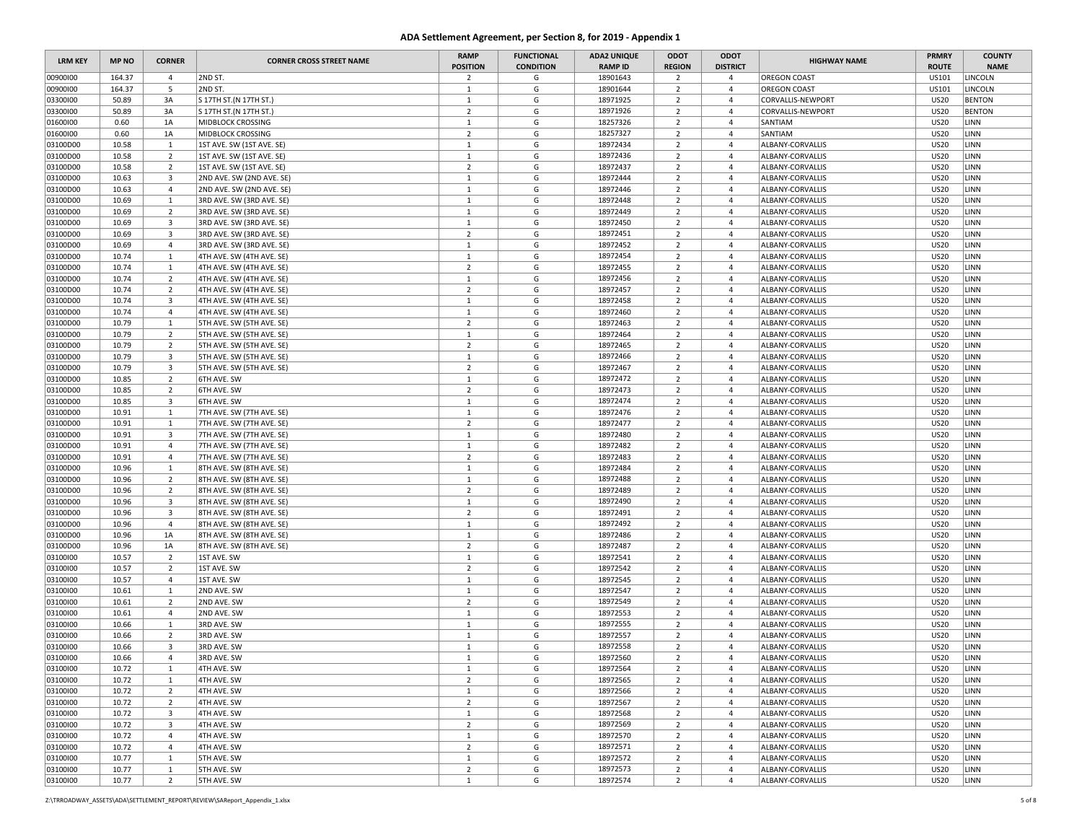| <b>LRM KEY</b> | <b>MP NO</b> | <b>CORNER</b>           | <b>CORNER CROSS STREET NAME</b>                        | <b>RAMP</b>     | <b>FUNCTIONAL</b> | <b>ADA2 UNIQUE</b>         | ODOT           | ODOT            | <b>HIGHWAY NAME</b>                  | <b>PRMRY</b>   | <b>COUNTY</b> |
|----------------|--------------|-------------------------|--------------------------------------------------------|-----------------|-------------------|----------------------------|----------------|-----------------|--------------------------------------|----------------|---------------|
|                |              |                         |                                                        | <b>POSITION</b> | <b>CONDITION</b>  | <b>RAMP ID</b><br>18901643 | <b>REGION</b>  | <b>DISTRICT</b> |                                      | <b>ROUTE</b>   | <b>NAME</b>   |
| 00900100       | 164.37       | $\overline{4}$          | 2ND ST.                                                | $\overline{2}$  | G<br>G            |                            | $\overline{2}$ | 4<br>4          | <b>OREGON COAST</b>                  | US101<br>US101 | LINCOLN       |
| 00900100       | 164.37       | 5                       | 2ND ST.                                                | $\mathbf{1}$    |                   | 18901644                   | $\overline{2}$ |                 | <b>OREGON COAST</b>                  |                | LINCOLN       |
| 03300100       | 50.89        | 3A                      | S 17TH ST. (N 17TH ST.)                                | $\mathbf{1}$    | G                 | 18971925                   | $\overline{2}$ | $\overline{4}$  | CORVALLIS-NEWPORT                    | <b>US20</b>    | <b>BENTON</b> |
| 03300100       | 50.89        | 3A                      | S 17TH ST. (N 17TH ST.)                                | $\overline{2}$  | G                 | 18971926                   | $\overline{2}$ | 4               | CORVALLIS-NEWPORT                    | <b>US20</b>    | <b>BENTON</b> |
| 01600100       | 0.60         | 1A                      | MIDBLOCK CROSSING                                      | $\mathbf{1}$    | G                 | 18257326                   | $\overline{2}$ | $\overline{4}$  | SANTIAM                              | <b>US20</b>    | LINN          |
| 01600100       | 0.60         | 1A                      | MIDBLOCK CROSSING                                      | $\overline{2}$  | G                 | 18257327                   | $\overline{2}$ | $\overline{4}$  | SANTIAM                              | <b>US20</b>    | LINN          |
| 03100D00       | 10.58        | 1                       | 1ST AVE. SW (1ST AVE. SE)                              | $\mathbf{1}$    | G                 | 18972434                   | $\overline{2}$ | 4               | ALBANY-CORVALLIS                     | <b>US20</b>    | LINN          |
| 03100D00       | 10.58        | $\overline{2}$          | 1ST AVE. SW (1ST AVE. SE)                              | $\mathbf{1}$    | G                 | 18972436                   | $\overline{2}$ | $\overline{4}$  | ALBANY-CORVALLIS                     | <b>US20</b>    | LINN          |
| 03100D00       | 10.58        | $\overline{2}$          | 1ST AVE. SW (1ST AVE. SE)                              | $\overline{2}$  | G                 | 18972437                   | $\overline{2}$ | $\overline{4}$  | ALBANY-CORVALLIS                     | <b>US20</b>    | LINN          |
| 03100D00       | 10.63        | $\overline{\mathbf{3}}$ | 2ND AVE. SW (2ND AVE. SE)                              | $\mathbf{1}$    | G                 | 18972444                   | $\overline{2}$ | $\overline{4}$  | ALBANY-CORVALLIS                     | <b>US20</b>    | LINN          |
| 03100D00       | 10.63        | $\overline{4}$          | 2ND AVE. SW (2ND AVE. SE)                              | $\mathbf{1}$    | G                 | 18972446                   | $\overline{2}$ | 4               | ALBANY-CORVALLIS                     | <b>US20</b>    | LINN          |
| 03100D00       | 10.69        | $\mathbf{1}$            | 3RD AVE. SW (3RD AVE. SE)                              | $\mathbf{1}$    | G                 | 18972448                   | $\overline{2}$ | $\overline{4}$  | ALBANY-CORVALLIS                     | <b>US20</b>    | LINN          |
| 03100D00       | 10.69        | $\overline{2}$          | 3RD AVE. SW (3RD AVE. SE)                              | $\mathbf{1}$    | G                 | 18972449                   | $\overline{2}$ | $\overline{4}$  | ALBANY-CORVALLIS                     | <b>US20</b>    | LINN          |
| 03100D00       | 10.69        | 3                       | 3RD AVE. SW (3RD AVE. SE)                              | $\mathbf{1}$    | G                 | 18972450                   | $\overline{2}$ | 4               | ALBANY-CORVALLIS                     | <b>US20</b>    | LINN          |
| 03100D00       | 10.69        | $\overline{\mathbf{3}}$ | 3RD AVE. SW (3RD AVE. SE)                              | $\overline{2}$  | G                 | 18972451                   | $\overline{2}$ | $\overline{4}$  | ALBANY-CORVALLIS                     | <b>US20</b>    | LINN          |
| 03100D00       | 10.69        | $\overline{4}$          | 3RD AVE. SW (3RD AVE. SE)                              | $\mathbf{1}$    | G                 | 18972452                   | $\overline{2}$ | $\overline{4}$  | ALBANY-CORVALLIS                     | <b>US20</b>    | LINN          |
| 03100D00       | 10.74        | $\mathbf{1}$            | 4TH AVE. SW (4TH AVE. SE)                              | $\mathbf{1}$    | G                 | 18972454                   | $\overline{2}$ | $\overline{4}$  | ALBANY-CORVALLIS                     | <b>US20</b>    | LINN          |
| 03100D00       | 10.74        | 1                       | 4TH AVE. SW (4TH AVE. SE)                              | $\overline{2}$  | G                 | 18972455                   | $\overline{2}$ | $\overline{4}$  | ALBANY-CORVALLIS                     | <b>US20</b>    | LINN          |
| 03100D00       | 10.74        | $\overline{2}$          | 4TH AVE. SW (4TH AVE. SE)                              | $\mathbf{1}$    | G                 | 18972456                   | $\overline{2}$ | $\overline{4}$  | ALBANY-CORVALLIS                     | <b>US20</b>    | LINN          |
| 03100D00       | 10.74        | $\overline{2}$          | 4TH AVE. SW (4TH AVE. SE)                              | $\overline{2}$  | G                 | 18972457                   | $\overline{2}$ | $\overline{4}$  | ALBANY-CORVALLIS                     | <b>US20</b>    | LINN          |
| 03100D00       | 10.74        | 3                       | 4TH AVE. SW (4TH AVE. SE)                              | $\mathbf{1}$    | G                 | 18972458                   | $\overline{2}$ | 4               | ALBANY-CORVALLIS                     | <b>US20</b>    | LINN          |
| 03100D00       | 10.74        | $\overline{4}$          | 4TH AVE. SW (4TH AVE. SE)                              | $\mathbf{1}$    | G                 | 18972460                   | $\overline{2}$ | $\overline{4}$  | ALBANY-CORVALLIS                     | <b>US20</b>    | LINN          |
| 03100D00       | 10.79        | $\mathbf{1}$            | 5TH AVE. SW (5TH AVE. SE)                              | $\overline{2}$  | G                 | 18972463                   | $\overline{2}$ | $\overline{4}$  | ALBANY-CORVALLIS                     | <b>US20</b>    | LINN          |
| 03100D00       | 10.79        | $\overline{2}$          | 5TH AVE. SW (5TH AVE. SE)                              | $\mathbf{1}$    | G                 | 18972464                   | $\overline{2}$ | $\overline{4}$  | ALBANY-CORVALLIS                     | <b>US20</b>    | LINN          |
| 03100D00       | 10.79        | $\overline{2}$          | 5TH AVE. SW (5TH AVE. SE)                              | $\overline{2}$  | G                 | 18972465                   | $\overline{2}$ | 4               | ALBANY-CORVALLIS                     | <b>US20</b>    | LINN          |
| 03100D00       | 10.79        | $\overline{\mathbf{3}}$ | 5TH AVE. SW (5TH AVE. SE)                              | $\mathbf{1}$    | G                 | 18972466                   | $\overline{2}$ | $\overline{4}$  | ALBANY-CORVALLIS                     | <b>US20</b>    | LINN          |
| 03100D00       | 10.79        | $\overline{\mathbf{3}}$ | 5TH AVE. SW (5TH AVE. SE)                              | $\overline{2}$  | G                 | 18972467                   | $\overline{2}$ | $\overline{4}$  | ALBANY-CORVALLIS                     | <b>US20</b>    | LINN          |
| 03100D00       | 10.85        | $\overline{2}$          | 6TH AVE. SW                                            | $\mathbf{1}$    | G                 | 18972472                   | $\overline{2}$ | 4               | ALBANY-CORVALLIS                     | <b>US20</b>    | LINN          |
| 03100D00       | 10.85        | $\overline{2}$          | 6TH AVE. SW                                            | $\overline{2}$  | G                 | 18972473                   | $\overline{2}$ | 4               | ALBANY-CORVALLIS                     | <b>US20</b>    | LINN          |
| 03100D00       | 10.85        | $\overline{\mathbf{3}}$ | 6TH AVE. SW                                            | $\mathbf{1}$    | G                 | 18972474                   | $\overline{2}$ | $\overline{4}$  | ALBANY-CORVALLIS                     | <b>US20</b>    | LINN          |
| 03100D00       | 10.91        | $\mathbf{1}$            | 7TH AVE. SW (7TH AVE. SE)                              | $\mathbf{1}$    | G                 | 18972476                   | $\overline{2}$ | $\overline{4}$  | ALBANY-CORVALLIS                     | <b>US20</b>    | LINN          |
| 03100D00       | 10.91        | 1                       | 7TH AVE. SW (7TH AVE. SE)                              | $\overline{2}$  | G                 | 18972477                   | $\overline{2}$ | $\overline{4}$  | ALBANY-CORVALLIS                     | <b>US20</b>    | LINN          |
| 03100D00       | 10.91        | $\overline{\mathbf{3}}$ | 7TH AVE. SW (7TH AVE. SE)                              | 1               | G                 | 18972480                   | $\overline{2}$ | $\overline{4}$  | ALBANY-CORVALLIS                     | <b>US20</b>    | LINN          |
| 03100D00       | 10.91        | $\overline{4}$          | 7TH AVE. SW (7TH AVE. SE)                              | $\mathbf{1}$    | G                 | 18972482                   | $\overline{2}$ | $\overline{4}$  | ALBANY-CORVALLIS                     | <b>US20</b>    | LINN          |
| 03100D00       | 10.91        | $\overline{4}$          | 7TH AVE. SW (7TH AVE. SE)                              | $\overline{2}$  | G                 | 18972483                   | $\overline{2}$ | $\overline{4}$  | ALBANY-CORVALLIS                     | <b>US20</b>    | LINN          |
| 03100D00       | 10.96        | 1                       |                                                        | $\mathbf{1}$    | G                 | 18972484                   | $\overline{2}$ | 4               |                                      | <b>US20</b>    | LINN          |
| 03100D00       | 10.96        | $\overline{2}$          | 8TH AVE. SW (8TH AVE. SE)<br>8TH AVE. SW (8TH AVE. SE) | $\mathbf{1}$    | G                 | 18972488                   | $\overline{2}$ | $\overline{4}$  | ALBANY-CORVALLIS<br>ALBANY-CORVALLIS | <b>US20</b>    | LINN          |
|                | 10.96        |                         |                                                        | $\overline{2}$  | G                 |                            | $\overline{2}$ | $\overline{4}$  |                                      | <b>US20</b>    | LINN          |
| 03100D00       |              | $\overline{2}$          | 8TH AVE. SW (8TH AVE. SE)                              |                 |                   | 18972489                   |                |                 | ALBANY-CORVALLIS                     |                |               |
| 03100D00       | 10.96        | $\overline{\mathbf{3}}$ | 8TH AVE. SW (8TH AVE. SE)                              | $\mathbf{1}$    | G                 | 18972490                   | $\overline{2}$ | $\overline{4}$  | ALBANY-CORVALLIS                     | <b>US20</b>    | LINN          |
| 03100D00       | 10.96        | $\overline{\mathbf{3}}$ | 8TH AVE. SW (8TH AVE. SE)                              | $\overline{2}$  | G                 | 18972491                   | $\overline{2}$ | 4               | ALBANY-CORVALLIS                     | <b>US20</b>    | LINN          |
| 03100D00       | 10.96        | $\overline{4}$          | 8TH AVE. SW (8TH AVE. SE)                              | <sup>1</sup>    | G                 | 18972492                   | $\overline{2}$ | $\overline{4}$  | ALBANY-CORVALLIS                     | <b>US20</b>    | LINN          |
| 03100D00       | 10.96        | 1A                      | 8TH AVE. SW (8TH AVE. SE)                              | $\mathbf{1}$    | G                 | 18972486                   | $\overline{2}$ | $\overline{4}$  | ALBANY-CORVALLIS                     | <b>US20</b>    | LINN          |
| 03100D00       | 10.96        | 1A                      | 8TH AVE. SW (8TH AVE. SE)                              | $\overline{2}$  | G                 | 18972487                   | $\overline{2}$ | $\overline{4}$  | ALBANY-CORVALLIS                     | <b>US20</b>    | LINN          |
| 03100100       | 10.57        | $\overline{2}$          | 1ST AVE. SW                                            | $\mathbf{1}$    | G                 | 18972541                   | $\overline{2}$ | $\overline{4}$  | ALBANY-CORVALLIS                     | <b>US20</b>    | LINN          |
| 03100100       | 10.57        | $\overline{2}$          | 1ST AVE. SW                                            | $\overline{2}$  | G                 | 18972542                   | $\overline{2}$ | $\overline{4}$  | ALBANY-CORVALLIS                     | <b>US20</b>    | LINN          |
| 03100100       | 10.57        | $\overline{4}$          | 1ST AVE. SW                                            | $\mathbf{1}$    | G                 | 18972545                   | $\overline{2}$ | 4               | ALBANY-CORVALLIS                     | <b>US20</b>    | LINN          |
| 03100100       | 10.61        | $\mathbf{1}$            | 2ND AVE. SW                                            | $\mathbf{1}$    | G                 | 18972547                   | $\overline{2}$ | 4               | ALBANY-CORVALLIS                     | <b>US20</b>    | LINN          |
| 03100100       | 10.61        | $\overline{2}$          | 2ND AVE. SW                                            | $\overline{2}$  | G                 | 18972549                   | $\overline{2}$ | $\overline{4}$  | ALBANY-CORVALLIS                     | <b>US20</b>    | LINN          |
| 03100100       | 10.61        | $\overline{4}$          | 2ND AVE. SW                                            | $\mathbf{1}$    | G                 | 18972553                   | $\overline{2}$ | 4               | ALBANY-CORVALLIS                     | <b>US20</b>    | LINN          |
| 03100100       | 10.66        | 1                       | 3RD AVE. SW                                            | $\mathbf{1}$    | G                 | 18972555                   | $\overline{2}$ | 4               | ALBANY-CORVALLIS                     | <b>US20</b>    | LINN          |
| 03100100       | 10.66        | $\overline{2}$          | 3RD AVE. SW                                            | $\mathbf{1}$    | G                 | 18972557                   | $\overline{2}$ | $\overline{4}$  | ALBANY-CORVALLIS                     | <b>US20</b>    | LINN          |
| 03100100       | 10.66        | $\overline{\mathbf{3}}$ | 3RD AVE. SW                                            | $\mathbf{1}$    | G                 | 18972558                   | $\overline{2}$ | $\overline{4}$  | ALBANY-CORVALLIS                     | <b>US20</b>    | LINN          |
| 03100100       | 10.66        | $\overline{4}$          | 3RD AVE. SW                                            | 1               | G                 | 18972560                   | $\overline{2}$ | $\overline{4}$  | ALBANY-CORVALLIS                     | <b>US20</b>    | LINN          |
| 03100100       | 10.72        | <sup>1</sup>            | 4TH AVE. SW                                            | $\mathbf{1}$    | G                 | 18972564                   | $\overline{2}$ | 4               | ALBANY-CORVALLIS                     | <b>US20</b>    | LINN          |
| 03100100       | 10.72        | $\mathbf{1}$            | 4TH AVE. SW                                            | $\overline{2}$  | G                 | 18972565                   | $\overline{2}$ | $\overline{4}$  | ALBANY-CORVALLIS                     | <b>US20</b>    | LINN          |
| 03100100       | 10.72        | $\overline{2}$          | 4TH AVE. SW                                            | $\mathbf{1}$    | G                 | 18972566                   | $\overline{2}$ | $\overline{4}$  | ALBANY-CORVALLIS                     | <b>US20</b>    | LINN          |
| 03100100       | 10.72        | $\overline{2}$          | 4TH AVE. SW                                            | $\overline{2}$  | G                 | 18972567                   | $\overline{2}$ | 4               | ALBANY-CORVALLIS                     | <b>US20</b>    | LINN          |
| 03100100       | 10.72        | $\overline{\mathbf{3}}$ | 4TH AVE. SW                                            | $\mathbf{1}$    | G                 | 18972568                   | $\overline{2}$ | $\overline{4}$  | ALBANY-CORVALLIS                     | <b>US20</b>    | LINN          |
| 03100100       | 10.72        | $\overline{\mathbf{3}}$ | 4TH AVE. SW                                            | $\overline{2}$  | G                 | 18972569                   | $\overline{2}$ | 4               | ALBANY-CORVALLIS                     | <b>US20</b>    | LINN          |
| 03100100       | 10.72        | $\overline{a}$          | 4TH AVE. SW                                            | $\mathbf{1}$    | G                 | 18972570                   | $\overline{2}$ | $\overline{4}$  | ALBANY-CORVALLIS                     | <b>US20</b>    | LINN          |
| 03100100       | 10.72        | $\overline{4}$          | 4TH AVE. SW                                            | $\overline{2}$  | G                 | 18972571                   | $\overline{2}$ | 4               | ALBANY-CORVALLIS                     | <b>US20</b>    | LINN          |
| 03100100       | 10.77        | $\mathbf{1}$            | 5TH AVE. SW                                            | $\mathbf{1}$    | G                 | 18972572                   | $\overline{2}$ | $\overline{4}$  | ALBANY-CORVALLIS                     | <b>US20</b>    | LINN          |
| 03100100       | 10.77        | <sup>1</sup>            | 5TH AVE. SW                                            | $\overline{2}$  | G                 | 18972573                   | $\overline{2}$ | $\overline{4}$  | ALBANY-CORVALLIS                     | <b>US20</b>    | LINN          |
| 03100100       | 10.77        | $\overline{2}$          | <b>5TH AVE. SW</b>                                     | $\mathbf{1}$    | G                 | 18972574                   | $\overline{2}$ | $\overline{4}$  | ALBANY-CORVALLIS                     | <b>US20</b>    | LINN          |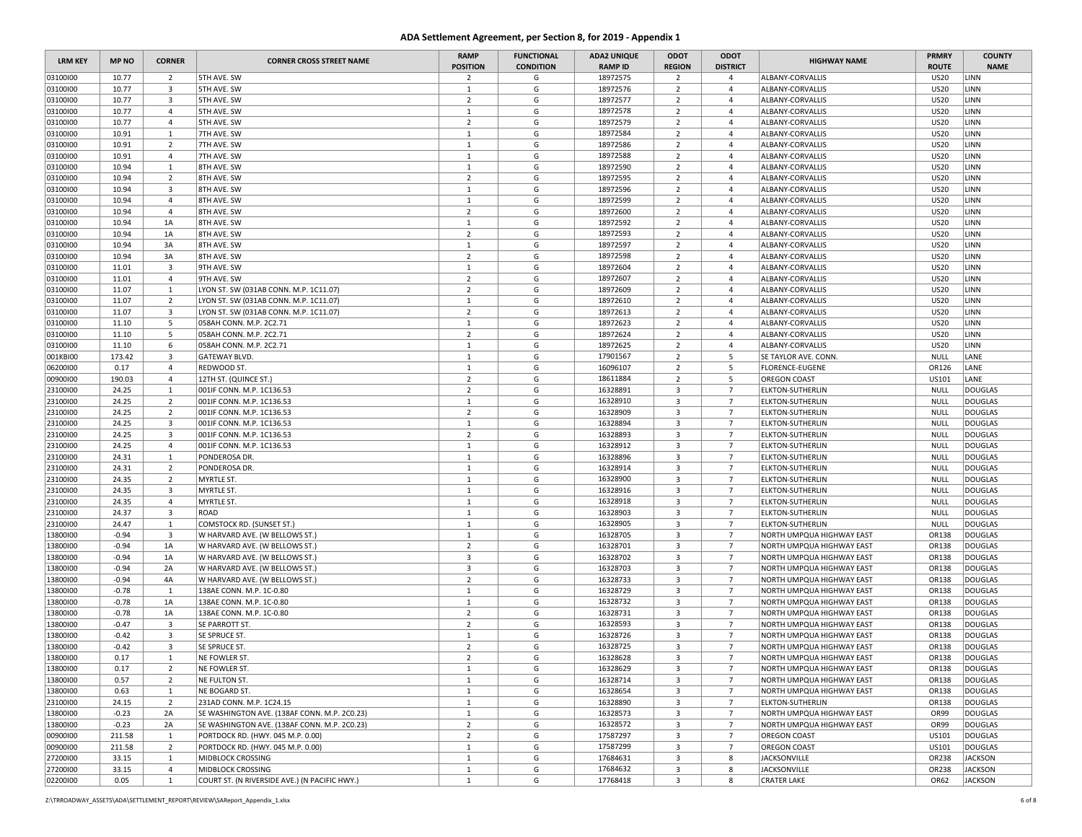| <b>LRM KEY</b>       | <b>MP NO</b>   | <b>CORNER</b>                | <b>CORNER CROSS STREET NAME</b>                        | <b>RAMP</b><br><b>POSITION</b> | <b>FUNCTIONAL</b><br><b>CONDITION</b> | <b>ADA2 UNIQUE</b><br><b>RAMP ID</b> | ODOT<br><b>REGION</b>   | ODOT<br><b>DISTRICT</b>           | <b>HIGHWAY NAME</b>                                | <b>PRMRY</b><br><b>ROUTE</b> | <b>COUNTY</b><br><b>NAME</b>     |
|----------------------|----------------|------------------------------|--------------------------------------------------------|--------------------------------|---------------------------------------|--------------------------------------|-------------------------|-----------------------------------|----------------------------------------------------|------------------------------|----------------------------------|
| 03100100             | 10.77          | $\overline{2}$               | 5TH AVE. SW                                            | $\overline{2}$                 | G                                     | 18972575                             | $\overline{2}$          | $\overline{4}$                    | ALBANY-CORVALLIS                                   | <b>US20</b>                  | LINN                             |
| 03100100             | 10.77          | 3                            | 5TH AVE. SW                                            | $\mathbf{1}$                   | G                                     | 18972576                             | $\overline{2}$          | $\overline{4}$                    | ALBANY-CORVALLIS                                   | <b>US20</b>                  | LINN                             |
| 03100100             | 10.77          | $\overline{\mathbf{3}}$      | 5TH AVE. SW                                            | $\overline{2}$                 | G                                     | 18972577                             | $\overline{2}$          | $\overline{4}$                    | ALBANY-CORVALLIS                                   | <b>US20</b>                  | LINN                             |
| 03100100             | 10.77          | $\overline{4}$               | 5TH AVE. SW                                            | $\mathbf{1}$                   | G                                     | 18972578                             | $\overline{2}$          | 4                                 | ALBANY-CORVALLIS                                   | <b>US20</b>                  | LINN                             |
| 03100100             | 10.77          | $\overline{4}$               | 5TH AVE. SW                                            | $\overline{2}$                 | G                                     | 18972579                             | $\overline{2}$          | $\overline{4}$                    | ALBANY-CORVALLIS                                   | <b>US20</b>                  | LINN                             |
| 03100100             | 10.91          | 1                            | 7TH AVE. SW                                            | $\mathbf{1}$                   | G                                     | 18972584                             | $\overline{2}$          | $\overline{4}$                    | ALBANY-CORVALLIS                                   | <b>US20</b>                  | LINN                             |
| 03100100             | 10.91          | $\overline{2}$               | 7TH AVE. SW                                            | $\mathbf{1}$                   | G                                     | 18972586                             | $\overline{2}$          | 4                                 | ALBANY-CORVALLIS                                   | <b>US20</b>                  | LINN                             |
| 03100100             | 10.91          | $\overline{4}$               | 7TH AVE. SW                                            | $\mathbf{1}$                   | G                                     | 18972588                             | $\overline{2}$          | $\overline{4}$                    | ALBANY-CORVALLIS                                   | <b>US20</b>                  | LINN                             |
| 03100100             | 10.94          | 1                            | 8TH AVE. SW                                            | $\mathbf{1}$                   | G                                     | 18972590                             | $\overline{2}$          | $\overline{4}$                    | ALBANY-CORVALLIS                                   | <b>US20</b>                  | LINN                             |
| 03100100             | 10.94          | $\overline{2}$               | 8TH AVE. SW                                            | $\overline{2}$                 | G                                     | 18972595                             | $\overline{2}$          | $\overline{4}$                    | ALBANY-CORVALLIS                                   | <b>US20</b>                  | LINN                             |
| 03100100             | 10.94          | $\overline{\mathbf{3}}$      | 8TH AVE. SW                                            | $\mathbf{1}$                   | G                                     | 18972596                             | $\overline{2}$          | 4                                 | ALBANY-CORVALLIS                                   | <b>US20</b>                  | LINN                             |
| 03100100             | 10.94          | $\overline{4}$               | 8TH AVE. SW                                            | $\mathbf{1}$                   | G                                     | 18972599                             | $\overline{2}$          | $\overline{4}$                    | ALBANY-CORVALLIS                                   | <b>US20</b>                  | LINN                             |
| 03100100             | 10.94          | $\overline{4}$               | 8TH AVE. SW                                            | $\overline{2}$                 | G                                     | 18972600                             | $\overline{2}$          | $\overline{4}$                    | ALBANY-CORVALLIS                                   | <b>US20</b>                  | LINN                             |
| 03100100             | 10.94          | 1A                           | 8TH AVE. SW                                            | $\mathbf{1}$                   | G                                     | 18972592                             | $\overline{2}$          | 4                                 | ALBANY-CORVALLIS                                   | <b>US20</b>                  | LINN                             |
| 03100100             | 10.94          | 1A                           | 8TH AVE. SW                                            | $\overline{2}$                 | G                                     | 18972593                             | $\overline{2}$          | $\overline{4}$                    | ALBANY-CORVALLIS                                   | <b>US20</b>                  | LINN                             |
| 03100100             | 10.94          | 3A                           | 8TH AVE. SW                                            | $\mathbf{1}$                   | G                                     | 18972597                             | $\overline{2}$          | $\overline{4}$                    | ALBANY-CORVALLIS                                   | <b>US20</b>                  | LINN                             |
| 03100100             | 10.94          | 3A                           | 8TH AVE. SW                                            | $\overline{2}$                 | G                                     | 18972598                             | $\overline{2}$          | $\overline{4}$                    | ALBANY-CORVALLIS                                   | <b>US20</b>                  | LINN                             |
| 03100100             | 11.01          | 3                            | 9TH AVE. SW                                            | $\mathbf{1}$                   | G                                     | 18972604                             | $\overline{2}$          | $\overline{4}$                    | ALBANY-CORVALLIS                                   | <b>US20</b>                  | LINN                             |
| 03100100             | 11.01          | $\overline{4}$               | 9TH AVE. SW                                            | $\overline{2}$                 | G                                     | 18972607                             | $\overline{2}$          | $\overline{4}$                    | ALBANY-CORVALLIS                                   | <b>US20</b>                  | LINN                             |
| 03100100             | 11.07          | 1                            | LYON ST. SW (031AB CONN. M.P. 1C11.07)                 | $\overline{2}$                 | G                                     | 18972609                             | $\overline{2}$          | $\overline{4}$                    | ALBANY-CORVALLIS                                   | <b>US20</b>                  | LINN                             |
| 03100100             | 11.07          | $\overline{2}$               | LYON ST. SW (031AB CONN. M.P. 1C11.07)                 | $\mathbf{1}$                   | G                                     | 18972610                             | $\overline{2}$          | $\overline{4}$                    | ALBANY-CORVALLIS                                   | <b>US20</b>                  | LINN                             |
| 03100100             | 11.07          | $\overline{3}$               | LYON ST. SW (031AB CONN. M.P. 1C11.07)                 | $\overline{2}$                 | G                                     | 18972613                             | $\overline{2}$          | 4                                 | ALBANY-CORVALLIS                                   | <b>US20</b>                  | LINN                             |
| 03100100             | 11.10          | 5                            | 058AH CONN. M.P. 2C2.71                                | $\mathbf{1}$                   | G                                     | 18972623                             | $\overline{2}$          | $\overline{4}$                    | ALBANY-CORVALLIS                                   | <b>US20</b>                  | LINN                             |
| 03100100             | 11.10          | 5                            | 058AH CONN. M.P. 2C2.71                                | $\overline{2}$                 | G                                     | 18972624                             | $\overline{2}$          | $\overline{4}$                    | ALBANY-CORVALLIS                                   | <b>US20</b>                  | LINN                             |
| 03100100             | 11.10          | 6                            | 058AH CONN. M.P. 2C2.71                                | $\mathbf{1}$                   | G                                     | 18972625                             | $\overline{2}$          | 4                                 | ALBANY-CORVALLIS                                   | <b>US20</b>                  | LINN                             |
| 001KBI00             | 173.42         | $\overline{\mathbf{3}}$      | GATEWAY BLVD.                                          | $\mathbf{1}$                   | G                                     | 17901567                             | $\overline{2}$          | 5                                 | SE TAYLOR AVE. CONN                                | <b>NULL</b>                  | LANE                             |
| 06200100             | 0.17           | $\overline{4}$               | REDWOOD ST.                                            | 1                              | G                                     | 16096107                             | $\overline{2}$          | 5                                 | <b>FLORENCE-EUGENE</b>                             | OR126                        | LANE                             |
| 00900100             | 190.03         | $\overline{4}$               | 12TH ST. (QUINCE ST.)                                  | $\overline{2}$                 | G                                     | 18611884                             | $\overline{2}$          | 5                                 | <b>OREGON COAST</b>                                | US101                        | LANE                             |
| 23100100             | 24.25          | 1                            | 001IF CONN. M.P. 1C136.53                              | $\overline{2}$                 | G                                     | 16328891                             | 3                       | $\overline{7}$                    | <b>ELKTON-SUTHERLIN</b>                            | <b>NULL</b>                  | <b>DOUGLAS</b>                   |
| 23100100             | 24.25          | $\overline{2}$               | 001IF CONN. M.P. 1C136.53                              | $\mathbf{1}$                   | G                                     | 16328910                             | $\overline{\mathbf{3}}$ | $\overline{7}$                    | <b>ELKTON-SUTHERLIN</b>                            | <b>NULL</b>                  | <b>DOUGLAS</b>                   |
| 23100100             | 24.25          | $\overline{2}$               | 001IF CONN. M.P. 1C136.53<br>001IF CONN, M.P. 1C136.53 | $\overline{2}$                 | G                                     | 16328909                             | $\overline{\mathbf{3}}$ | $7\overline{ }$                   | <b>ELKTON-SUTHERLIN</b>                            | NULL                         | <b>DOUGLAS</b>                   |
| 23100100             | 24.25<br>24.25 | 3<br>$\overline{\mathbf{3}}$ |                                                        | $\mathbf{1}$<br>$\overline{2}$ | G<br>G                                | 16328894                             | 3<br>3                  | $\overline{7}$<br>$\overline{7}$  | <b>ELKTON-SUTHERLIN</b><br><b>ELKTON-SUTHERLIN</b> | <b>NULL</b><br><b>NULL</b>   | <b>DOUGLAS</b>                   |
| 23100100<br>23100100 |                |                              | 001IF CONN. M.P. 1C136.53                              |                                |                                       | 16328893                             | $\overline{\mathbf{3}}$ |                                   |                                                    |                              | <b>DOUGLAS</b>                   |
| 23100100             | 24.25<br>24.31 | $\overline{4}$<br>1          | 001IF CONN. M.P. 1C136.53<br>PONDEROSA DR.             | $\mathbf{1}$<br>$\mathbf{1}$   | G<br>G                                | 16328912<br>16328896                 | $\overline{\mathbf{3}}$ | $\overline{7}$<br>$7\overline{ }$ | <b>ELKTON-SUTHERLIN</b><br><b>ELKTON-SUTHERLIN</b> | NULL<br><b>NULL</b>          | <b>DOUGLAS</b><br><b>DOUGLAS</b> |
| 23100100             | 24.31          | $\overline{2}$               | PONDEROSA DR.                                          | $\mathbf{1}$                   | G                                     | 16328914                             | $\overline{\mathbf{3}}$ | $\overline{7}$                    | <b>ELKTON-SUTHERLIN</b>                            | <b>NULL</b>                  | <b>DOUGLAS</b>                   |
| 23100100             | 24.35          | $\overline{2}$               | MYRTLE ST.                                             | $\mathbf{1}$                   | G                                     | 16328900                             | $\overline{\mathbf{3}}$ | $7\overline{ }$                   | <b>ELKTON-SUTHERLIN</b>                            | <b>NULL</b>                  | <b>DOUGLAS</b>                   |
| 23100100             | 24.35          | 3                            | MYRTLE ST.                                             | $\mathbf{1}$                   | G                                     | 16328916                             | $\overline{\mathbf{3}}$ | $7\overline{ }$                   | <b>ELKTON-SUTHERLIN</b>                            | <b>NULL</b>                  | <b>DOUGLAS</b>                   |
| 23100100             | 24.35          | $\overline{4}$               | MYRTLE ST.                                             | $\mathbf{1}$                   | G                                     | 16328918                             | $\overline{\mathbf{3}}$ | $7\overline{ }$                   | <b>ELKTON-SUTHERLIN</b>                            | <b>NULL</b>                  | <b>DOUGLAS</b>                   |
| 23100100             | 24.37          | $\overline{\mathbf{3}}$      | ROAD                                                   | $\mathbf{1}$                   | G                                     | 16328903                             | $\overline{\mathbf{3}}$ | $\overline{7}$                    | <b>ELKTON-SUTHERLIN</b>                            | <b>NULL</b>                  | <b>DOUGLAS</b>                   |
| 23100100             | 24.47          | 1                            | <b>COMSTOCK RD. (SUNSET ST.)</b>                       | $\mathbf{1}$                   | G                                     | 16328905                             | $\overline{\mathbf{3}}$ | $\overline{7}$                    | <b>ELKTON-SUTHERLIN</b>                            | <b>NULL</b>                  | <b>DOUGLAS</b>                   |
| 13800100             | $-0.94$        | $\overline{\mathbf{3}}$      | W HARVARD AVE. (W BELLOWS ST.)                         | $\mathbf{1}$                   | G                                     | 16328705                             | $\overline{\mathbf{3}}$ | $7\overline{ }$                   | NORTH UMPQUA HIGHWAY EAST                          | OR138                        | <b>DOUGLAS</b>                   |
| 13800100             | $-0.94$        | 1A                           | W HARVARD AVE. (W BELLOWS ST.)                         | $\overline{2}$                 | G                                     | 16328701                             | $\overline{\mathbf{3}}$ | $\overline{7}$                    | NORTH UMPQUA HIGHWAY EAST                          | OR138                        | <b>DOUGLAS</b>                   |
| 13800100             | $-0.94$        | 1A                           | W HARVARD AVE. (W BELLOWS ST.)                         | $\overline{\mathbf{3}}$        | G                                     | 16328702                             | $\overline{\mathbf{3}}$ | $7\overline{ }$                   | NORTH UMPQUA HIGHWAY EAST                          | OR138                        | <b>DOUGLAS</b>                   |
| 13800100             | $-0.94$        | 2A                           | W HARVARD AVE. (W BELLOWS ST.)                         | $\overline{3}$                 | G                                     | 16328703                             | $\overline{3}$          | $7\overline{ }$                   | NORTH UMPQUA HIGHWAY EAST                          | OR138                        | <b>DOUGLAS</b>                   |
| 13800100             | $-0.94$        | 4A                           | W HARVARD AVE. (W BELLOWS ST.)                         | $\overline{2}$                 | G                                     | 16328733                             | $\overline{\mathbf{3}}$ | $\overline{7}$                    | NORTH UMPQUA HIGHWAY EAST                          | OR138                        | <b>DOUGLAS</b>                   |
| 13800100             | $-0.78$        | $\mathbf{1}$                 | 138AE CONN. M.P. 1C-0.80                               | $\mathbf{1}$                   | G                                     | 16328729                             | 3                       | $\overline{7}$                    | NORTH UMPQUA HIGHWAY EAST                          | OR138                        | <b>DOUGLAS</b>                   |
| 13800100             | $-0.78$        | 1A                           | 138AE CONN. M.P. 1C-0.80                               | $\mathbf{1}$                   | G                                     | 16328732                             | $\overline{\mathbf{3}}$ | $7\overline{ }$                   | NORTH UMPQUA HIGHWAY EAST                          | OR138                        | <b>DOUGLAS</b>                   |
| 13800100             | $-0.78$        | 1A                           | 138AE CONN. M.P. 1C-0.80                               | $\overline{2}$                 | G                                     | 16328731                             | $\overline{\mathbf{3}}$ | $7\overline{ }$                   | NORTH UMPQUA HIGHWAY EAST                          | OR138                        | <b>DOUGLAS</b>                   |
| 13800100             | $-0.47$        | 3                            | SE PARROTT ST.                                         | $\overline{2}$                 | G                                     | 16328593                             | $\overline{\mathbf{3}}$ | $\overline{7}$                    | NORTH UMPQUA HIGHWAY EAST                          | OR138                        | <b>DOUGLAS</b>                   |
| 13800100             | $-0.42$        | $\overline{\mathbf{3}}$      | SE SPRUCE ST.                                          | $\mathbf{1}$                   | G                                     | 16328726                             | $\overline{\mathbf{3}}$ | $\overline{7}$                    | NORTH UMPQUA HIGHWAY EAST                          | OR138                        | <b>DOUGLAS</b>                   |
| 13800100             | $-0.42$        | $\overline{\mathbf{3}}$      | SE SPRUCE ST.                                          | $\overline{2}$                 | G                                     | 16328725                             | 3                       | $7\overline{ }$                   | NORTH UMPQUA HIGHWAY EAST                          | OR138                        | <b>DOUGLAS</b>                   |
| 13800100             | 0.17           | 1                            | NE FOWLER ST.                                          | $\overline{2}$                 | G                                     | 16328628                             | 3                       | $\overline{7}$                    | NORTH UMPQUA HIGHWAY EAST                          | OR138                        | <b>DOUGLAS</b>                   |
| 13800100             | 0.17           | $\overline{2}$               | NE FOWLER ST.                                          | $\mathbf{1}$                   | G                                     | 16328629                             | $\overline{\mathbf{3}}$ | $7\overline{ }$                   | NORTH UMPQUA HIGHWAY EAST                          | OR138                        | <b>DOUGLAS</b>                   |
| 13800100             | 0.57           | $\overline{2}$               | NE FULTON ST.                                          | $\mathbf{1}$                   | G                                     | 16328714                             | $\overline{\mathbf{3}}$ | $7\overline{ }$                   | NORTH UMPQUA HIGHWAY EAST                          | OR138                        | DOUGLAS                          |
| 13800100             | 0.63           | $\mathbf{1}$                 | NE BOGARD ST.                                          | $\mathbf{1}$                   | G                                     | 16328654                             | $\overline{\mathbf{3}}$ | $7\overline{ }$                   | NORTH UMPQUA HIGHWAY EAST                          | OR138                        | DOUGLAS                          |
| 23100100             | 24.15          | $\overline{2}$               | 231AD CONN. M.P. 1C24.15                               | $\mathbf{1}$                   | G                                     | 16328890                             | $\overline{\mathbf{3}}$ | $7\overline{ }$                   | <b>ELKTON-SUTHERLIN</b>                            | OR138                        | DOUGLAS                          |
| 13800100             | $-0.23$        | 2A                           | SE WASHINGTON AVE. (138AF CONN. M.P. 2C0.23)           | $\mathbf{1}$                   | G                                     | 16328573                             | $\overline{3}$          | $\overline{7}$                    | NORTH UMPQUA HIGHWAY EAST                          | OR99                         | <b>DOUGLAS</b>                   |
| 13800100             | $-0.23$        | 2A                           | SE WASHINGTON AVE. (138AF CONN. M.P. 2C0.23)           | $\overline{2}$                 | G                                     | 16328572                             | $\overline{\mathbf{3}}$ | $7\overline{ }$                   | NORTH UMPQUA HIGHWAY EAST                          | OR99                         | <b>DOUGLAS</b>                   |
| 00900100             | 211.58         | $\mathbf{1}$                 | PORTDOCK RD. (HWY. 045 M.P. 0.00)                      | $\overline{2}$                 | G                                     | 17587297                             | $\overline{\mathbf{3}}$ | $7\overline{ }$                   | <b>OREGON COAST</b>                                | US101                        | DOUGLAS                          |
| 00900100             | 211.58         | $\overline{2}$               | PORTDOCK RD. (HWY. 045 M.P. 0.00)                      | $\mathbf{1}$                   | G                                     | 17587299                             | $\overline{\mathbf{3}}$ | $\overline{7}$                    | <b>OREGON COAST</b>                                | US101                        | DOUGLAS                          |
| 27200100             | 33.15          | $\mathbf{1}$                 | MIDBLOCK CROSSING                                      | $\mathbf{1}$                   | G                                     | 17684631                             | $\overline{\mathbf{3}}$ | 8                                 | <b>JACKSONVILLE</b>                                | OR238                        | <b>JACKSON</b>                   |
| 27200100             | 33.15          | $\overline{4}$               | MIDBLOCK CROSSING                                      | $\mathbf{1}$                   | G                                     | 17684632                             | $\overline{\mathbf{3}}$ | 8                                 | JACKSONVILLE                                       | OR238                        | <b>JACKSON</b>                   |
| 02200100             | 0.05           | $\mathbf{1}$                 | COURT ST. (N RIVERSIDE AVE.) (N PACIFIC HWY.)          | $\mathbf{1}$                   | G                                     | 17768418                             | $\overline{\mathbf{3}}$ | 8                                 | <b>CRATER LAKE</b>                                 | OR62                         | <b>JACKSON</b>                   |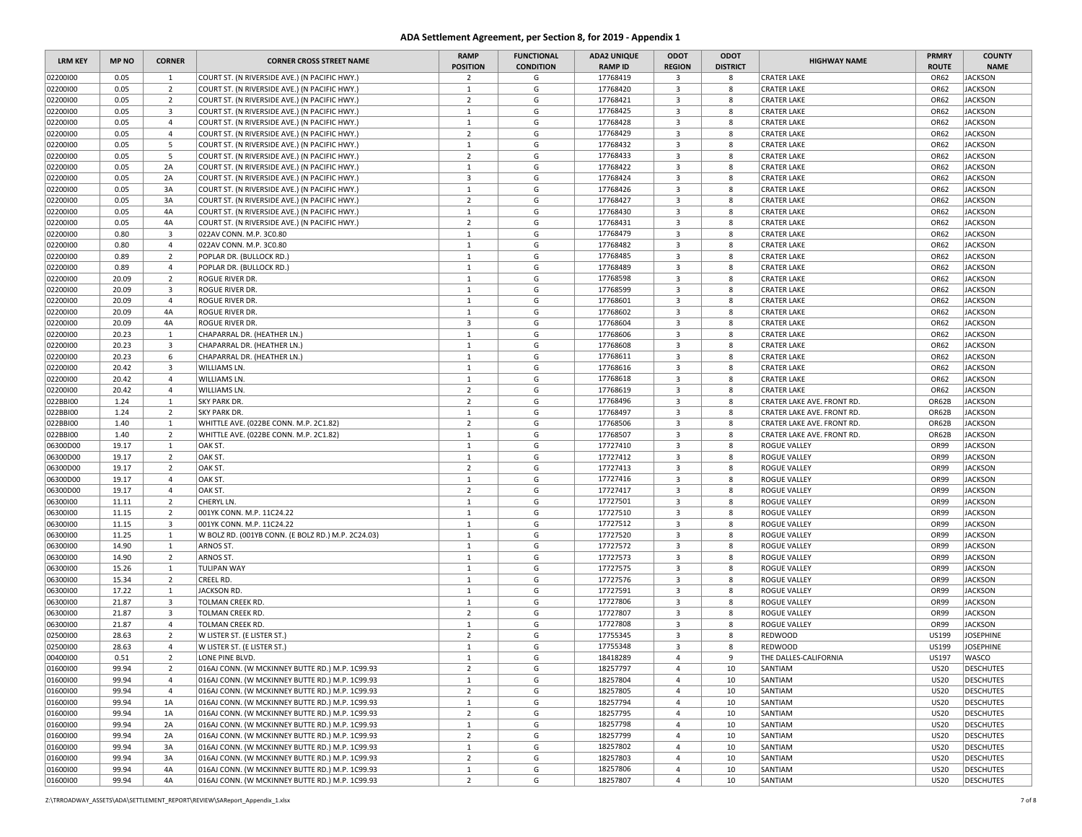| <b>LRM KEY</b>       | <b>MP NO</b> | <b>CORNER</b>                  | <b>CORNER CROSS STREET NAME</b>                                                  | <b>RAMP</b><br><b>POSITION</b> | <b>FUNCTIONAL</b><br><b>CONDITION</b> | <b>ADA2 UNIQUE</b><br><b>RAMP ID</b> | ODOT<br><b>REGION</b>        | ODOT<br><b>DISTRICT</b> | <b>HIGHWAY NAME</b>                                      | <b>PRMRY</b><br><b>ROUTE</b> | <b>COUNTY</b><br><b>NAME</b>     |
|----------------------|--------------|--------------------------------|----------------------------------------------------------------------------------|--------------------------------|---------------------------------------|--------------------------------------|------------------------------|-------------------------|----------------------------------------------------------|------------------------------|----------------------------------|
| 02200100             | 0.05         | <sup>1</sup>                   | COURT ST. (N RIVERSIDE AVE.) (N PACIFIC HWY.)                                    | $\overline{2}$                 | G                                     | 17768419                             | $\overline{\mathbf{3}}$      | 8                       | <b>CRATER LAKE</b>                                       | OR62                         | <b>JACKSON</b>                   |
| 02200100             | 0.05         | $\overline{2}$                 | COURT ST. (N RIVERSIDE AVE.) (N PACIFIC HWY.)                                    | 1                              | G                                     | 17768420                             | 3                            | 8                       | <b>CRATER LAKE</b>                                       | OR62                         | <b>JACKSON</b>                   |
| 02200100             | 0.05         | $\overline{2}$                 | COURT ST. (N RIVERSIDE AVE.) (N PACIFIC HWY.)                                    | $\overline{2}$                 | G                                     | 17768421                             | $\overline{\mathbf{3}}$      | 8                       | <b>CRATER LAKE</b>                                       | OR62                         | <b>JACKSON</b>                   |
| 02200100             | 0.05         | $\overline{\mathbf{3}}$        | COURT ST. (N RIVERSIDE AVE.) (N PACIFIC HWY.)                                    | $\mathbf{1}$                   | G                                     | 17768425                             | 3                            | 8                       | <b>CRATER LAKE</b>                                       | OR62                         | <b>JACKSON</b>                   |
| 02200100             | 0.05         | $\overline{4}$                 | COURT ST. (N RIVERSIDE AVE.) (N PACIFIC HWY.)                                    | 1                              | G                                     | 17768428                             | $\overline{3}$               | 8                       | <b>CRATER LAKE</b>                                       | OR62                         | <b>JACKSON</b>                   |
| 02200100             | 0.05         | $\overline{4}$                 | COURT ST. (N RIVERSIDE AVE.) (N PACIFIC HWY.)                                    | $\overline{2}$                 | G                                     | 17768429                             | 3                            | 8                       | <b>CRATER LAKE</b>                                       | OR62                         | <b>JACKSON</b>                   |
| 02200100             | 0.05         | 5                              | COURT ST. (N RIVERSIDE AVE.) (N PACIFIC HWY.)                                    | 1                              | G                                     | 17768432                             | $\overline{3}$               | 8                       | <b>CRATER LAKE</b>                                       | OR62                         | <b>JACKSON</b>                   |
| 02200100             | 0.05         | 5                              | COURT ST. (N RIVERSIDE AVE.) (N PACIFIC HWY.)                                    | $\overline{2}$                 | G                                     | 17768433                             | 3                            | 8                       | <b>CRATER LAKE</b>                                       | OR62                         | <b>JACKSON</b>                   |
| 02200100             | 0.05         | 2A                             | COURT ST. (N RIVERSIDE AVE.) (N PACIFIC HWY.)                                    | $\mathbf{1}$                   | G                                     | 17768422                             | $\overline{3}$               | 8                       | <b>CRATER LAKE</b>                                       | OR62                         | <b>JACKSON</b>                   |
| 02200100             | 0.05         | 2A                             | COURT ST. (N RIVERSIDE AVE.) (N PACIFIC HWY.)                                    | $\overline{\mathbf{3}}$        | G                                     | 17768424                             | $\overline{\mathbf{3}}$      | 8                       | <b>CRATER LAKE</b>                                       | OR62                         | <b>JACKSON</b>                   |
| 02200100             | 0.05         | 3A                             | COURT ST. (N RIVERSIDE AVE.) (N PACIFIC HWY.)                                    | 1                              | G                                     | 17768426                             | 3                            | 8                       | <b>CRATER LAKE</b>                                       | OR62                         | <b>JACKSON</b>                   |
| 02200100             | 0.05         | 3A                             | COURT ST. (N RIVERSIDE AVE.) (N PACIFIC HWY.)                                    | $\overline{2}$                 | G                                     | 17768427                             | $\overline{3}$               | 8                       | <b>CRATER LAKE</b>                                       | OR62                         | <b>JACKSON</b>                   |
| 02200100             | 0.05         | 4A                             | COURT ST. (N RIVERSIDE AVE.) (N PACIFIC HWY.)                                    | 1                              | G                                     | 17768430                             | 3                            | 8                       | <b>CRATER LAKE</b>                                       | OR62                         | <b>JACKSON</b>                   |
| 02200100             | 0.05         | 4A                             | COURT ST. (N RIVERSIDE AVE.) (N PACIFIC HWY.)                                    | $\overline{2}$                 | G                                     | 17768431                             | $\overline{3}$               | 8                       | <b>CRATER LAKE</b>                                       | OR62                         | <b>JACKSON</b>                   |
| 02200100             | 0.80         | $\overline{\mathbf{3}}$        | 022AV CONN. M.P. 3C0.80                                                          | $\mathbf{1}$                   | G                                     | 17768479                             | 3                            | 8                       | <b>CRATER LAKE</b>                                       | OR62                         | <b>JACKSON</b>                   |
| 02200100             | 0.80         | $\overline{4}$                 | 022AV CONN. M.P. 3C0.80                                                          | $\mathbf{1}$                   | G                                     | 17768482                             | 3                            | 8                       | <b>CRATER LAKE</b>                                       | OR62                         | <b>JACKSON</b>                   |
| 02200100             | 0.89         | $\overline{2}$                 | POPLAR DR. (BULLOCK RD.)                                                         | 1                              | G                                     | 17768485                             | $\overline{\mathbf{3}}$      | 8                       | <b>CRATER LAKE</b>                                       | OR62                         | <b>JACKSON</b>                   |
| 02200100             | 0.89         | $\overline{4}$                 | POPLAR DR. (BULLOCK RD.)                                                         | $\mathbf{1}$                   | G                                     | 17768489                             | 3                            | 8                       | <b>CRATER LAKE</b>                                       | OR62                         | <b>JACKSON</b>                   |
| 02200100             | 20.09        | $\overline{2}$                 | ROGUE RIVER DR.                                                                  | 1                              | G                                     | 17768598                             | 3                            | 8                       | <b>CRATER LAKE</b>                                       | OR62                         | <b>JACKSON</b>                   |
| 02200100             | 20.09        | $\overline{\mathbf{3}}$        | ROGUE RIVER DR.                                                                  | $\mathbf{1}$                   | G                                     | 17768599                             | 3                            | 8                       | <b>CRATER LAKE</b>                                       | OR62                         | <b>JACKSON</b>                   |
| 02200100             | 20.09        | $\overline{4}$                 | ROGUE RIVER DR.                                                                  | $\mathbf{1}$                   | G                                     | 17768601                             | $\overline{3}$               | 8                       | <b>CRATER LAKE</b>                                       | OR62                         | <b>JACKSON</b>                   |
| 02200100             | 20.09        | 4A                             | ROGUE RIVER DR.                                                                  | <sup>1</sup>                   | G                                     | 17768602                             | 3                            | 8                       | <b>CRATER LAKE</b>                                       | OR62                         | <b>JACKSON</b>                   |
| 02200100             | 20.09        | 4A                             | ROGUE RIVER DR.                                                                  | $\overline{\mathbf{3}}$        | G                                     | 17768604                             | $\mathbf{3}$                 | 8                       | <b>CRATER LAKE</b>                                       | OR62                         | <b>JACKSON</b>                   |
| 02200100             | 20.23        | 1                              | CHAPARRAL DR. (HEATHER LN.)                                                      | $\mathbf{1}$                   | G                                     | 17768606                             | $\overline{\mathbf{3}}$      | 8                       | <b>CRATER LAKE</b>                                       | OR62                         | <b>JACKSON</b>                   |
| 02200100             | 20.23        | $\overline{\mathbf{3}}$        | CHAPARRAL DR. (HEATHER LN.)                                                      | $\mathbf{1}$                   | G                                     | 17768608                             | 3                            | 8                       | <b>CRATER LAKE</b>                                       | OR62                         | <b>JACKSON</b>                   |
| 02200100             | 20.23        | 6                              | CHAPARRAL DR. (HEATHER LN.)                                                      | $\mathbf{1}$                   | G                                     | 17768611                             | 3                            | 8                       | <b>CRATER LAKE</b>                                       | OR62                         | <b>JACKSON</b>                   |
| 02200100             | 20.42        | $\overline{\mathbf{3}}$        | WILLIAMS LN.                                                                     | $\mathbf{1}$                   | G                                     | 17768616                             | 3                            | 8                       | <b>CRATER LAKE</b>                                       | OR62                         | <b>JACKSON</b>                   |
| 02200100             | 20.42        | $\overline{4}$                 | WILLIAMS LN.                                                                     | 1                              | G                                     | 17768618                             | $\overline{\mathbf{3}}$      | 8                       | <b>CRATER LAKE</b>                                       | OR62                         | <b>JACKSON</b>                   |
| 02200100             | 20.42        | $\overline{4}$                 | WILLIAMS LN.                                                                     | $\overline{2}$                 | G                                     | 17768619                             | 3                            | 8                       | <b>CRATER LAKE</b>                                       | OR62                         | <b>JACKSON</b>                   |
| 022BBI00             | 1.24         | 1                              | <b>SKY PARK DR.</b>                                                              | $\overline{2}$<br><sup>1</sup> | G                                     | 17768496<br>17768497                 | 3<br>$\overline{\mathbf{3}}$ | 8                       | CRATER LAKE AVE. FRONT RD.                               | OR62B                        | <b>JACKSON</b>                   |
| 022BBI00             | 1.24<br>1.40 | $\overline{2}$<br>$\mathbf{1}$ | <b>SKY PARK DR.</b>                                                              | $\overline{2}$                 | G<br>G                                | 17768506                             | $\overline{3}$               | 8<br>8                  | CRATER LAKE AVE. FRONT RD.                               | OR62B<br>OR62B               | <b>JACKSON</b><br><b>JACKSON</b> |
| 022BBI00<br>022BBI00 | 1.40         | $\overline{2}$                 | WHITTLE AVE. (022BE CONN. M.P. 2C1.82)<br>WHITTLE AVE. (022BE CONN. M.P. 2C1.82) | 1                              | G                                     | 17768507                             | 3                            | 8                       | CRATER LAKE AVE. FRONT RD.<br>CRATER LAKE AVE. FRONT RD. | OR62B                        | <b>JACKSON</b>                   |
| 06300D00             | 19.17        | $\mathbf{1}$                   | OAK ST.                                                                          | $\mathbf{1}$                   | G                                     | 17727410                             | 3                            | 8                       | ROGUE VALLEY                                             | OR99                         | <b>JACKSON</b>                   |
| 06300D00             | 19.17        | $\overline{2}$                 | OAK ST.                                                                          | $\mathbf{1}$                   | G                                     | 17727412                             | $\overline{3}$               | 8                       | ROGUE VALLEY                                             | OR99                         | <b>JACKSON</b>                   |
| 06300D00             | 19.17        | $\overline{2}$                 | OAK ST.                                                                          | $\overline{2}$                 | G                                     | 17727413                             | 3                            | 8                       | ROGUE VALLEY                                             | OR99                         | <b>JACKSON</b>                   |
| 06300D00             | 19.17        | $\overline{4}$                 | OAK ST.                                                                          | $\mathbf{1}$                   | G                                     | 17727416                             | 3                            | 8                       | ROGUE VALLEY                                             | OR99                         | <b>JACKSON</b>                   |
| 06300D00             | 19.17        | $\overline{4}$                 | OAK ST.                                                                          | $\overline{2}$                 | G                                     | 17727417                             | 3                            | 8                       | ROGUE VALLEY                                             | OR99                         | <b>JACKSON</b>                   |
| 06300100             | 11.11        | $\overline{2}$                 | CHERYL LN.                                                                       | $\mathbf{1}$                   | G                                     | 17727501                             | $\overline{3}$               | 8                       | ROGUE VALLEY                                             | OR99                         | <b>JACKSON</b>                   |
| 06300100             | 11.15        | $\overline{2}$                 | 001YK CONN. M.P. 11C24.22                                                        | $\mathbf{1}$                   | G                                     | 17727510                             | 3                            | 8                       | ROGUE VALLEY                                             | OR99                         | <b>JACKSON</b>                   |
| 06300100             | 11.15        | $\overline{\mathbf{3}}$        | 001YK CONN. M.P. 11C24.22                                                        | $\mathbf{1}$                   | G                                     | 17727512                             | $\overline{3}$               | 8                       | ROGUE VALLEY                                             | OR99                         | <b>JACKSON</b>                   |
| 06300100             | 11.25        | <sup>1</sup>                   | W BOLZ RD. (001YB CONN. (E BOLZ RD.) M.P. 2C24.03)                               | $\mathbf{1}$                   | G                                     | 17727520                             | $\overline{3}$               | 8                       | ROGUE VALLEY                                             | OR99                         | <b>JACKSON</b>                   |
| 06300100             | 14.90        | $\mathbf{1}$                   | ARNOS ST.                                                                        | $\mathbf{1}$                   | G                                     | 17727572                             | 3                            | 8                       | ROGUE VALLEY                                             | OR99                         | <b>JACKSON</b>                   |
| 06300100             | 14.90        | $\overline{2}$                 | ARNOS ST.                                                                        | 1                              | G                                     | 17727573                             | 3                            | 8                       | ROGUE VALLEY                                             | OR99                         | <b>JACKSON</b>                   |
| 06300100             | 15.26        | <sup>1</sup>                   | <b>TULIPAN WAY</b>                                                               | $\mathbf{1}$                   | G                                     | 17727575                             | 3                            | 8                       | ROGUE VALLEY                                             | OR99                         | <b>JACKSON</b>                   |
| 06300100             | 15.34        | $\overline{2}$                 | CREEL RD.                                                                        | 1                              | G                                     | 17727576                             | $\overline{3}$               | 8                       | ROGUE VALLEY                                             | OR99                         | <b>JACKSON</b>                   |
| 06300100             | 17.22        | 1                              | JACKSON RD.                                                                      | 1                              | G                                     | 17727591                             | 3                            | 8                       | ROGUE VALLEY                                             | OR99                         | <b>JACKSON</b>                   |
| 06300100             | 21.87        | $\overline{\mathbf{3}}$        | TOLMAN CREEK RD.                                                                 | 1                              | G                                     | 17727806                             | $\overline{3}$               | 8                       | ROGUE VALLEY                                             | OR99                         | <b>JACKSON</b>                   |
| 06300100             | 21.87        | $\overline{\mathbf{3}}$        | <b>TOLMAN CREEK RD.</b>                                                          | $\overline{2}$                 | G                                     | 17727807                             | 3                            | 8                       | ROGUE VALLEY                                             | OR99                         | <b>JACKSON</b>                   |
| 06300100             | 21.87        | $\overline{4}$                 | <b>TOLMAN CREEK RD</b>                                                           | 1                              | G                                     | 17727808                             | 3                            | 8                       | ROGUE VALLEY                                             | OR99                         | <b>JACKSON</b>                   |
| 02500100             | 28.63        | $\overline{2}$                 | W LISTER ST. (E LISTER ST.)                                                      | $\overline{2}$                 | G                                     | 17755345                             | 3                            | 8                       | <b>REDWOOD</b>                                           | US199                        | JOSEPHINE                        |
| 02500100             | 28.63        | $\overline{4}$                 | W LISTER ST. (E LISTER ST.)                                                      | 1                              | G                                     | 17755348                             | 3                            | 8                       | <b>REDWOOD</b>                                           | US199                        | <b>JOSEPHINE</b>                 |
| 00400100             | 0.51         | $\overline{2}$                 | LONE PINE BLVD.                                                                  | $\mathbf{1}$                   | G                                     | 18418289                             | $\overline{4}$               | 9                       | THE DALLES-CALIFORNIA                                    | US197                        | <b>WASCO</b>                     |
| 01600100             | 99.94        | $\overline{2}$                 | 016AJ CONN. (W MCKINNEY BUTTE RD.) M.P. 1C99.93                                  | $\overline{2}$                 | G                                     | 18257797                             | $\overline{4}$               | 10                      | SANTIAM                                                  | <b>US20</b>                  | <b>DESCHUTES</b>                 |
| 01600100             | 99.94        | $\overline{4}$                 | 016AJ CONN. (W MCKINNEY BUTTE RD.) M.P. 1C99.93                                  | $\mathbf{1}$                   | G                                     | 18257804                             | $\overline{4}$               | 10                      | SANTIAM                                                  | <b>US20</b>                  | <b>DESCHUTES</b>                 |
| 01600100             | 99.94        | $\overline{4}$                 | 016AJ CONN. (W MCKINNEY BUTTE RD.) M.P. 1C99.93                                  | $\overline{2}$                 | G                                     | 18257805                             | $\overline{4}$               | 10                      | SANTIAM                                                  | <b>US20</b>                  | <b>DESCHUTES</b>                 |
| 01600100             | 99.94        | 1A                             | 016AJ CONN. (W MCKINNEY BUTTE RD.) M.P. 1C99.93                                  | $\mathbf{1}$                   | G                                     | 18257794                             | $\overline{4}$               | 10                      | SANTIAM                                                  | <b>US20</b>                  | <b>DESCHUTES</b>                 |
| 01600100             | 99.94        | 1A                             | 016AJ CONN. (W MCKINNEY BUTTE RD.) M.P. 1C99.93                                  | $\overline{2}$                 | G                                     | 18257795                             | $\overline{4}$               | 10                      | SANTIAM                                                  | <b>US20</b>                  | <b>DESCHUTES</b>                 |
| 01600100             | 99.94        | 2A                             | 016AJ CONN. (W MCKINNEY BUTTE RD.) M.P. 1C99.93                                  | $\mathbf{1}$                   | G                                     | 18257798                             | $\overline{4}$               | 10                      | SANTIAM                                                  | <b>US20</b>                  | <b>DESCHUTES</b>                 |
| 01600100             | 99.94        | 2A                             | 016AJ CONN. (W MCKINNEY BUTTE RD.) M.P. 1C99.93                                  | $\overline{2}$                 | G                                     | 18257799                             | $\overline{4}$               | 10                      | SANTIAM                                                  | <b>US20</b>                  | <b>DESCHUTES</b>                 |
| 01600100             | 99.94        | 3A                             | 016AJ CONN. (W MCKINNEY BUTTE RD.) M.P. 1C99.93                                  | $\mathbf{1}$                   | G                                     | 18257802                             | $\overline{4}$               | 10                      | SANTIAM                                                  | <b>US20</b>                  | <b>DESCHUTES</b>                 |
| 01600100             | 99.94        | 3A                             | 016AJ CONN. (W MCKINNEY BUTTE RD.) M.P. 1C99.93                                  | $\overline{2}$                 | G                                     | 18257803                             | $\overline{4}$               | 10                      | SANTIAM                                                  | <b>US20</b>                  | <b>DESCHUTES</b>                 |
| 01600100             | 99.94        | 4A                             | 016AJ CONN. (W MCKINNEY BUTTE RD.) M.P. 1C99.93                                  | 1                              | G                                     | 18257806                             | $\overline{4}$               | 10                      | SANTIAM                                                  | <b>US20</b>                  | <b>DESCHUTES</b>                 |
| 01600100             | 99.94        | 4A                             | 016AJ CONN. (W MCKINNEY BUTTE RD.) M.P. 1C99.93                                  | $\overline{2}$                 | G                                     | 18257807                             | $\overline{4}$               | 10                      | SANTIAM                                                  | <b>US20</b>                  | <b>DESCHUTES</b>                 |